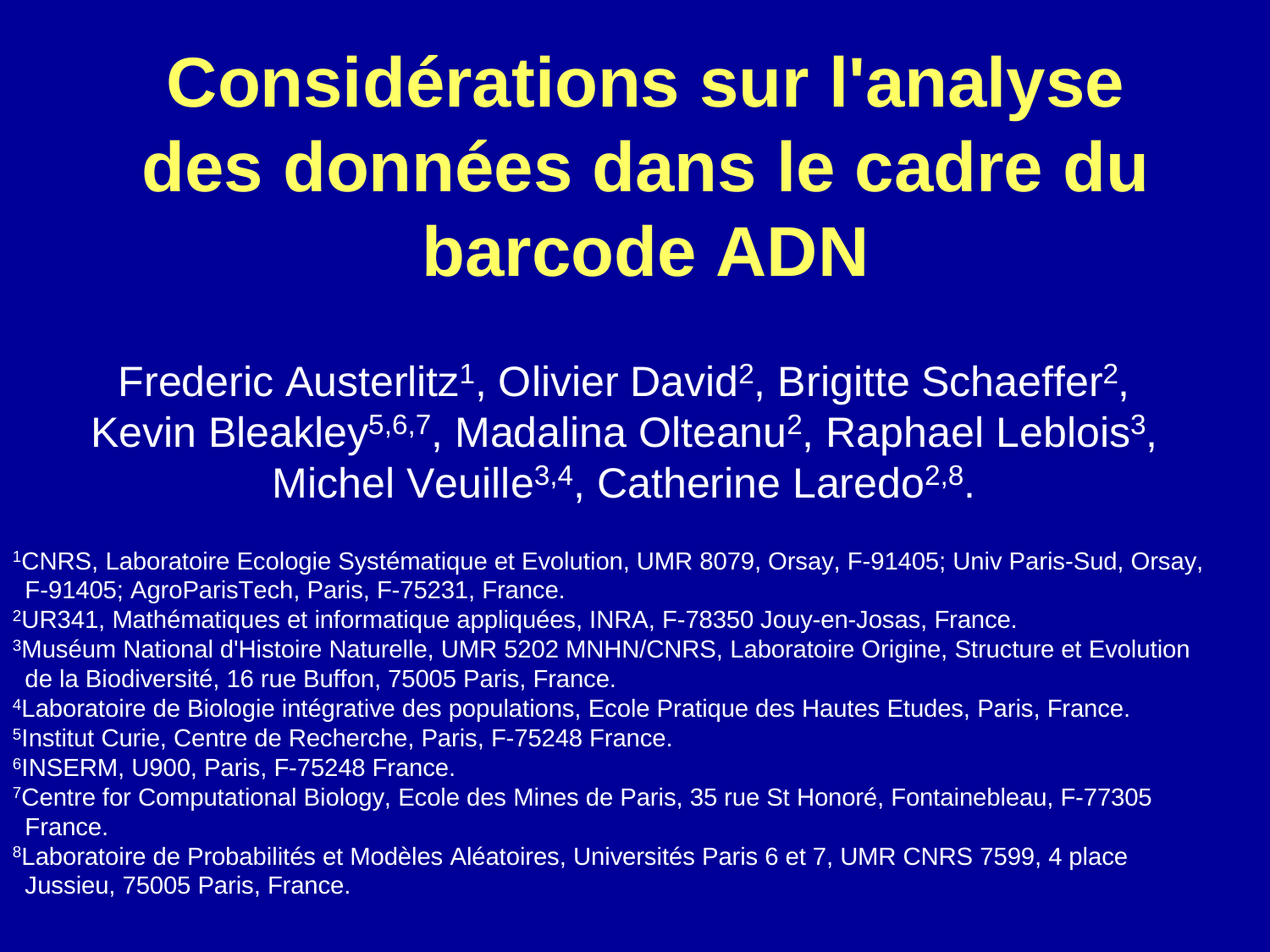# **Considérations sur l'analyse des données dans le cadre du barcode ADN**

Frederic Austerlitz<sup>1</sup>, Olivier David<sup>2</sup>, Brigitte Schaeffer<sup>2</sup>, Kevin Bleakley<sup>5,6,7</sup>, Madalina Olteanu<sup>2</sup>, Raphael Leblois<sup>3</sup>, Michel Veuille<sup>3,4</sup>, Catherine Laredo<sup>2,8</sup>.

<sup>1</sup>CNRS, Laboratoire Ecologie Systématique et Evolution, UMR 8079, Orsay, F-91405; Univ Paris-Sud, Orsay, F-91405; AgroParisTech, Paris, F-75231, France.

<sup>2</sup>UR341, Mathématiques et informatique appliquées, INRA, F-78350 Jouy-en-Josas, France.

3Muséum National d'Histoire Naturelle, UMR 5202 MNHN/CNRS, Laboratoire Origine, Structure et Evolution de la Biodiversité, 16 rue Buffon, 75005 Paris, France.

4Laboratoire de Biologie intégrative des populations, Ecole Pratique des Hautes Etudes, Paris, France.5Institut Curie, Centre de Recherche, Paris, F-75248 France.

6INSERM, U900, Paris, F-75248 France.

 <sup>7</sup>Centre for Computational Biology, Ecole des Mines de Paris, 35 rue St Honoré, Fontainebleau, F-77305 France.

<sup>8</sup>Laboratoire de Probabilités et Modèles Aléatoires, Universités Paris 6 et 7, UMR CNRS 7599, 4 place Jussieu, 75005 Paris, France.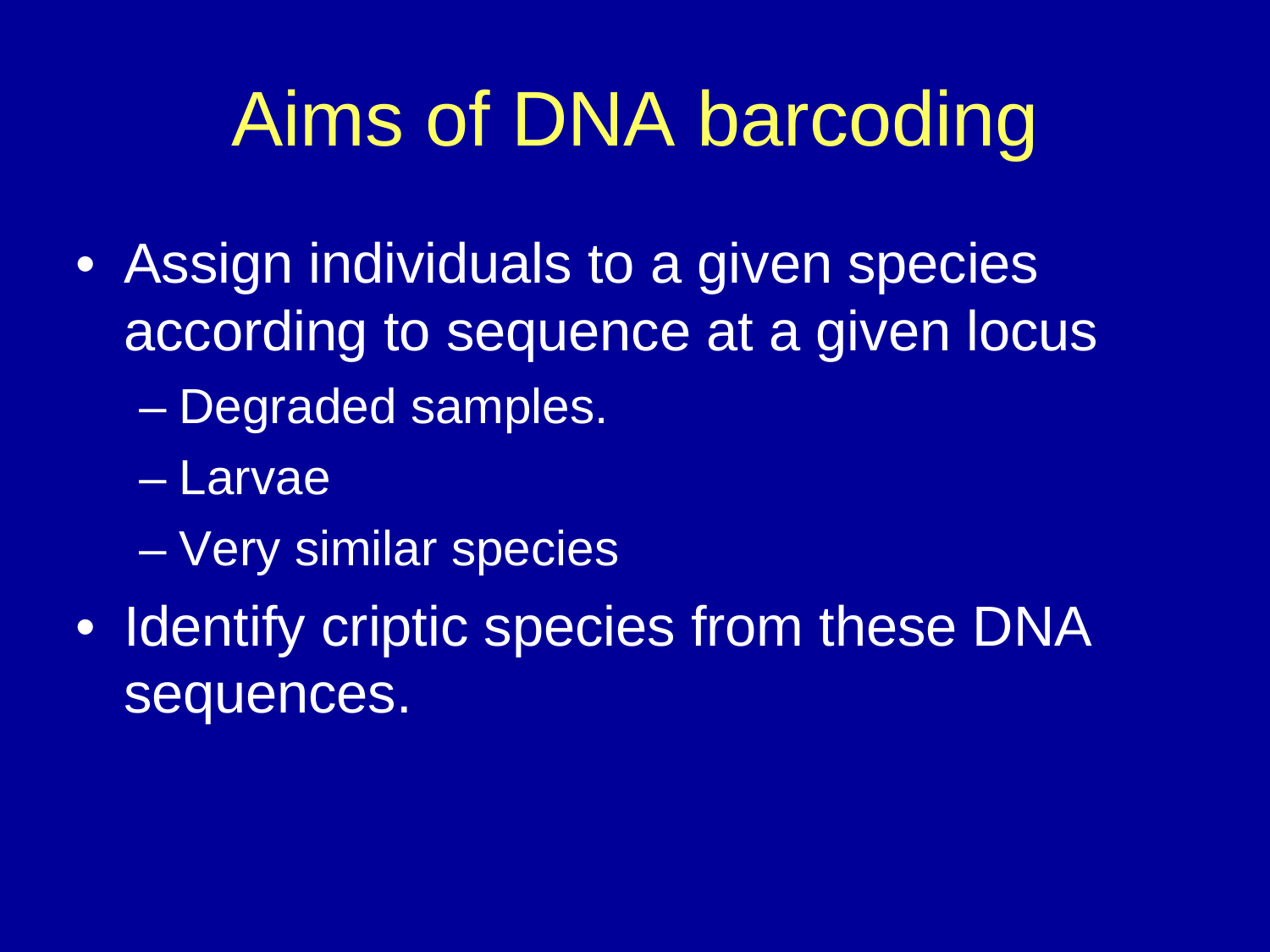# Aims of DNA barcoding

- Assign individuals to a given species according to sequence at a given locus
	- $\mathcal{L}_{\mathcal{A}}$ Degraded samples.
	- Larvae
	- –Very similar species
- Identify criptic species from these DNA sequences.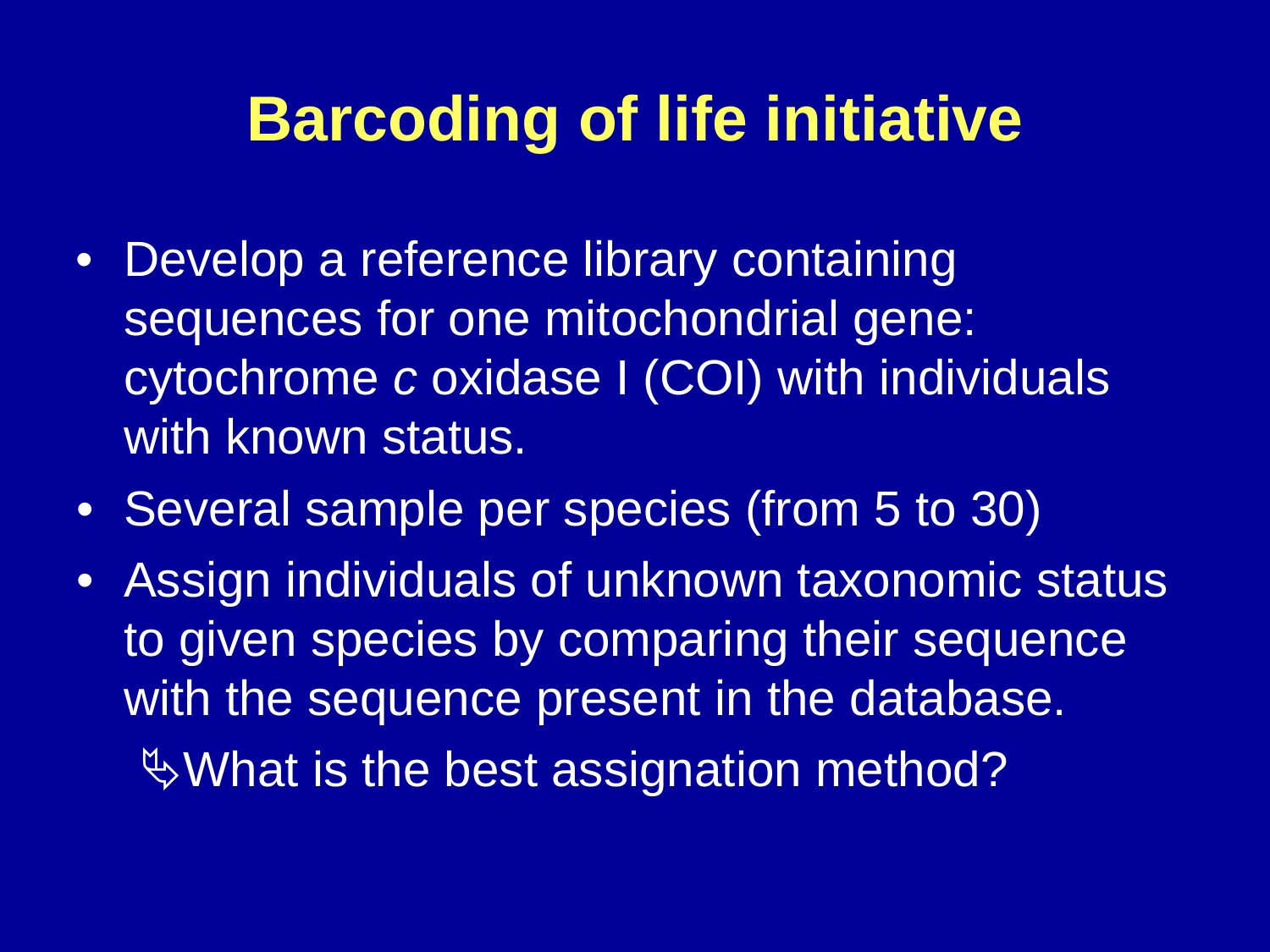# **Barcoding of life initiative**

- Develop a reference library containing sequences for one mitochondrial gene: cytochrome <sup>c</sup> oxidase I (COI) with individuals with known status.
- Several sample per species (from 5 to 30)
- Assign individuals of unknown taxonomic status to given species by comparing their sequence with the sequence present in the database. %What is the best assignation method?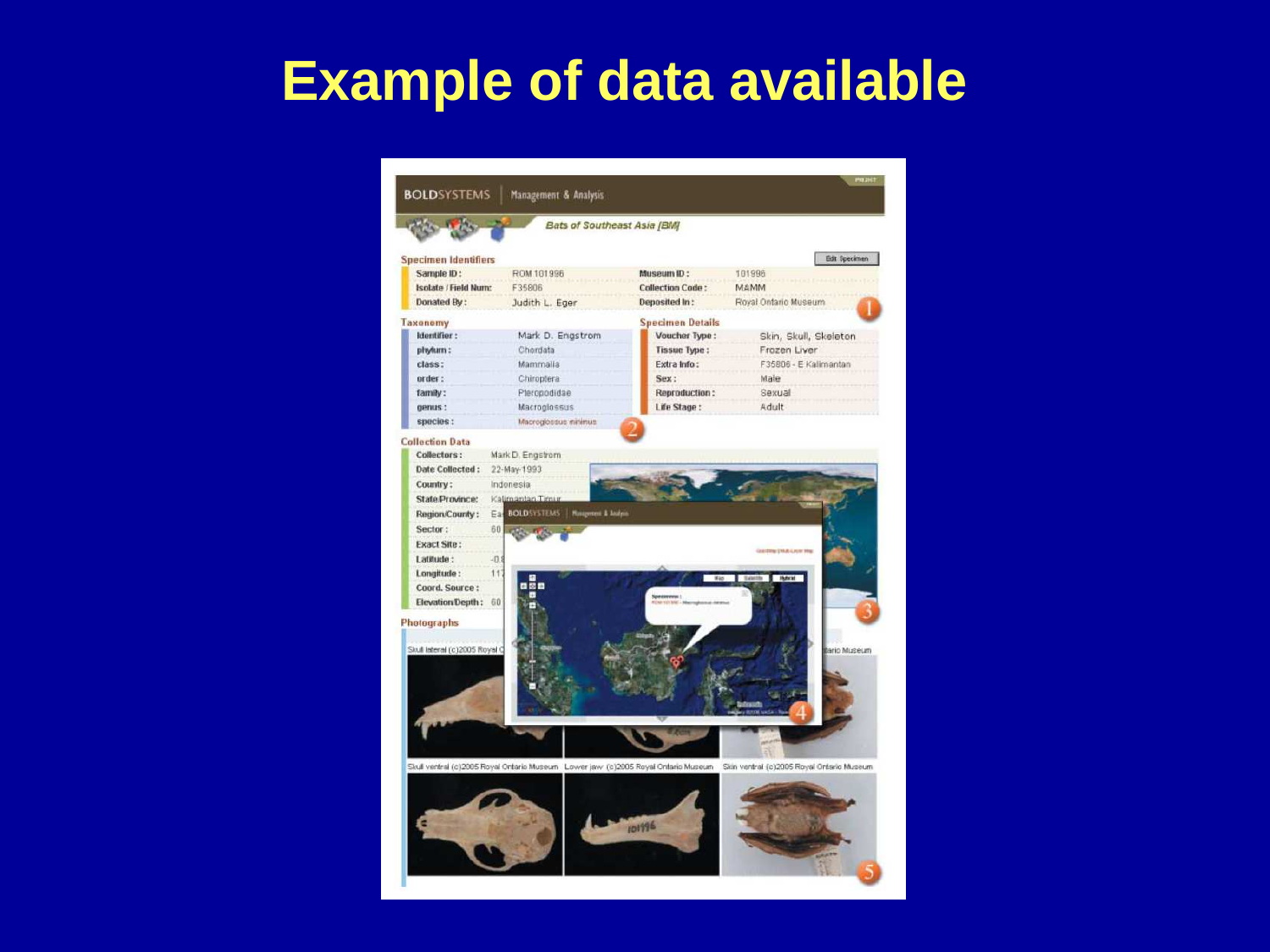# **Example of data available**

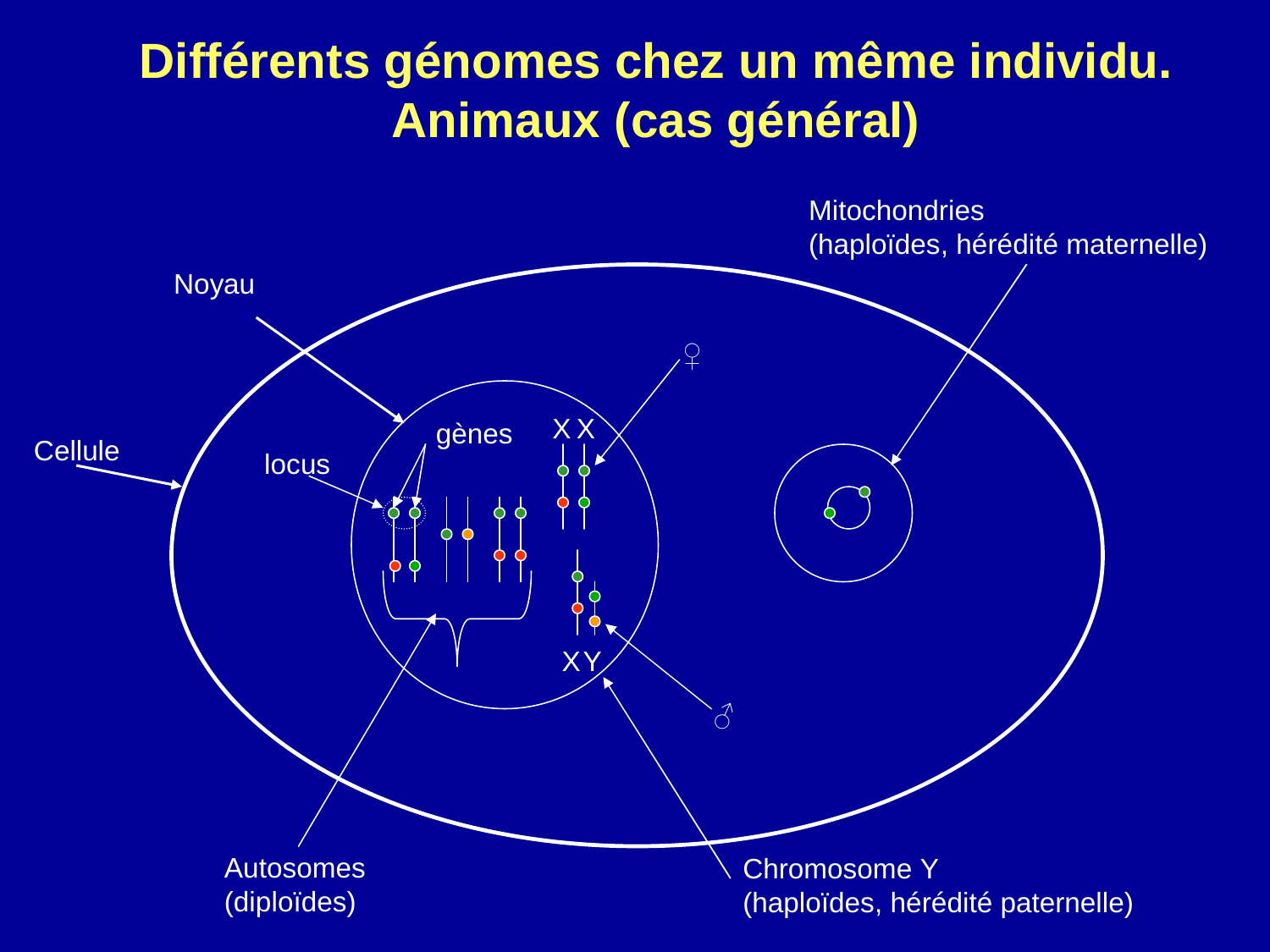#### **Différents génomes chez un même individu.Animaux (cas général)**

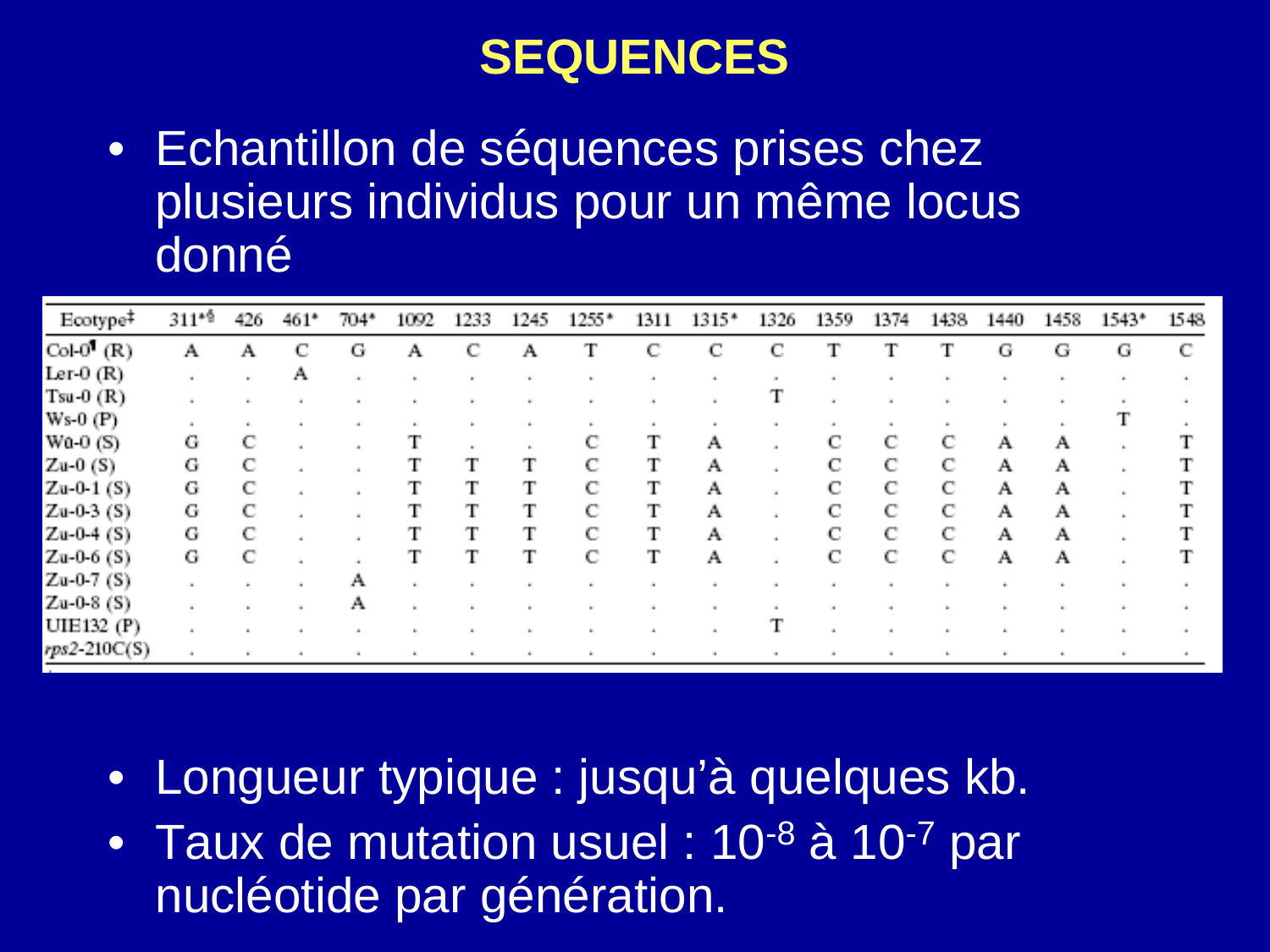#### **SEQUENCES**

• Echantillon de séquences prises chez plusieurs individus pour un même locus donné

| Ecotype <sup>‡</sup>   | $311*$ <sup>6</sup> | 426 | 461*        | 704* | 1092 | 1233 | 1245. | $1255*$ | 1311 | $1315*$ | 1326 | 1359 | 1374 | 1438 | 1440 | 1458. | 1543* | 1548 |
|------------------------|---------------------|-----|-------------|------|------|------|-------|---------|------|---------|------|------|------|------|------|-------|-------|------|
| Col- $0^{\dagger}$ (R) | Α                   | A   | $\mathbf C$ | G    | A    |      | A.    |         |      | C.      |      | т    | т    | Т    | G.   | G     | G     | C    |
| Ler- $0(R)$            |                     |     | A           |      |      |      |       |         |      |         |      |      |      |      |      |       |       |      |
| $Tsu-0$ $(R)$          |                     |     |             |      |      |      |       |         |      |         |      |      |      |      |      |       |       |      |
| $Ws-0$ (P)             |                     |     |             |      |      |      |       |         |      |         |      |      |      |      |      |       |       |      |
| $Wa-0(S)$              | G.                  |     |             |      |      |      |       |         |      | A.      |      |      | C    |      |      | Α     |       |      |
| Zu-0 $(S)$             | G                   |     |             |      |      |      |       |         |      | A       |      |      | с    |      | A    | A     |       |      |
| $Zu-0.1$ (S)           | G                   |     |             |      |      |      |       | с       |      | A       |      |      | C    |      | A    | A.    |       |      |
| $Zu-0-3$ (S)           | G                   |     |             |      |      |      |       | С       |      | A       |      | C.   | C    | C    | A    | A     |       |      |
| $Zu-0-4$ (S)           | G                   |     |             |      |      |      |       |         |      | A       |      |      | С    | с    | A    | A.    |       |      |
| $Zu-0-6$ (S)           | G                   |     |             |      |      |      |       |         |      | A       |      | С    | C    |      | A    | A.    |       |      |
| $Zu-0-7$ (S)           |                     |     |             | Α    |      |      |       |         |      |         |      |      |      |      |      |       |       |      |
| $Zu-0-8$ (S)           |                     |     |             | Α    |      |      |       |         |      |         |      |      |      |      |      |       |       |      |
| UIE132 (P)             |                     |     |             |      |      |      |       |         |      |         |      |      |      |      |      |       |       |      |
| $k$ rps2-210C(S)       |                     |     |             |      |      |      |       |         |      |         |      |      |      |      |      |       |       |      |

- Longueur typique : jusqu'à quelques kb.
- Taux de mutation usuel : 10<sup>-8</sup> à 10<sup>-7</sup> par nucléotide par génération.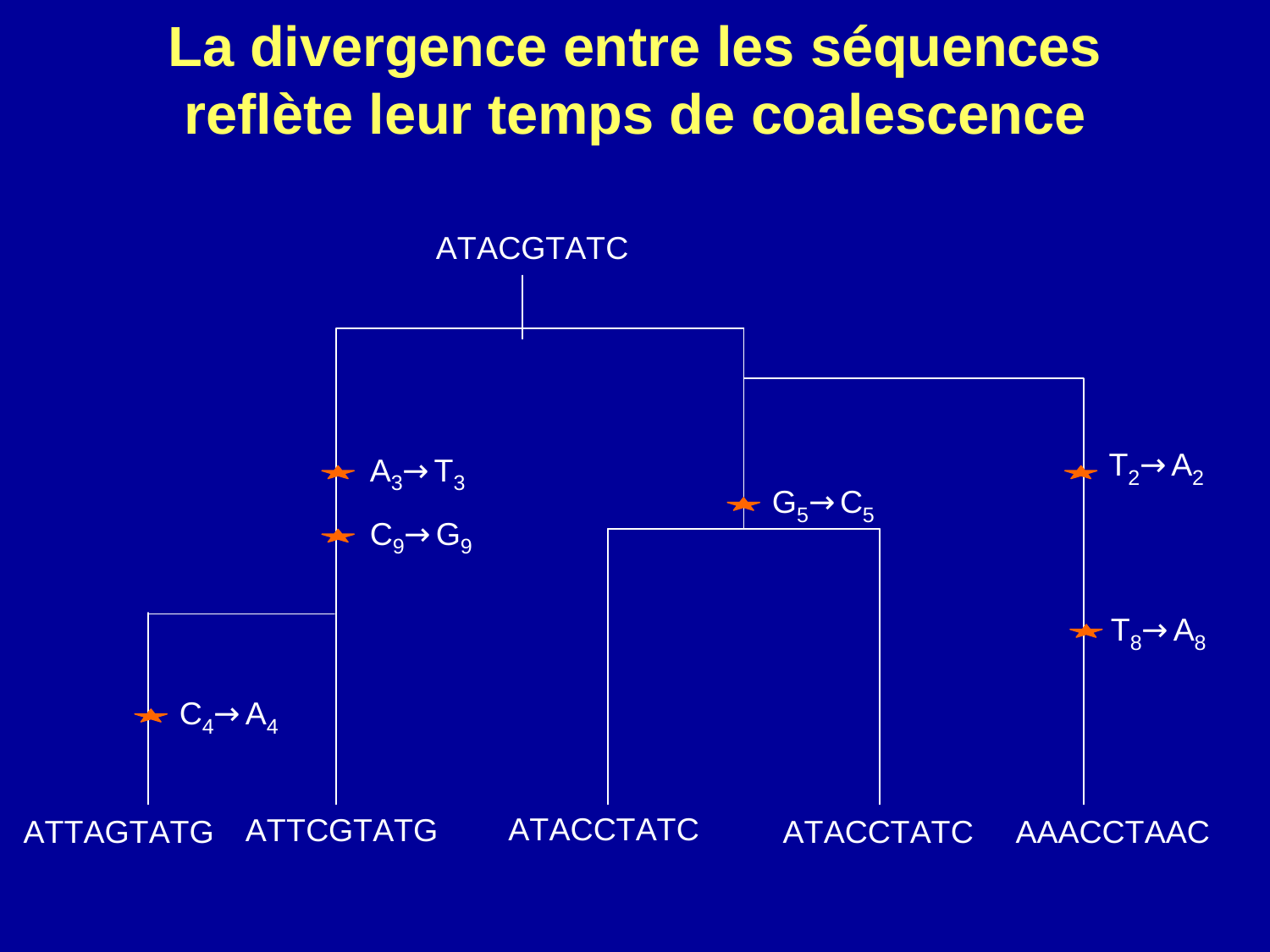### **La divergence entre les séquences reflète leur temps de coalescence**

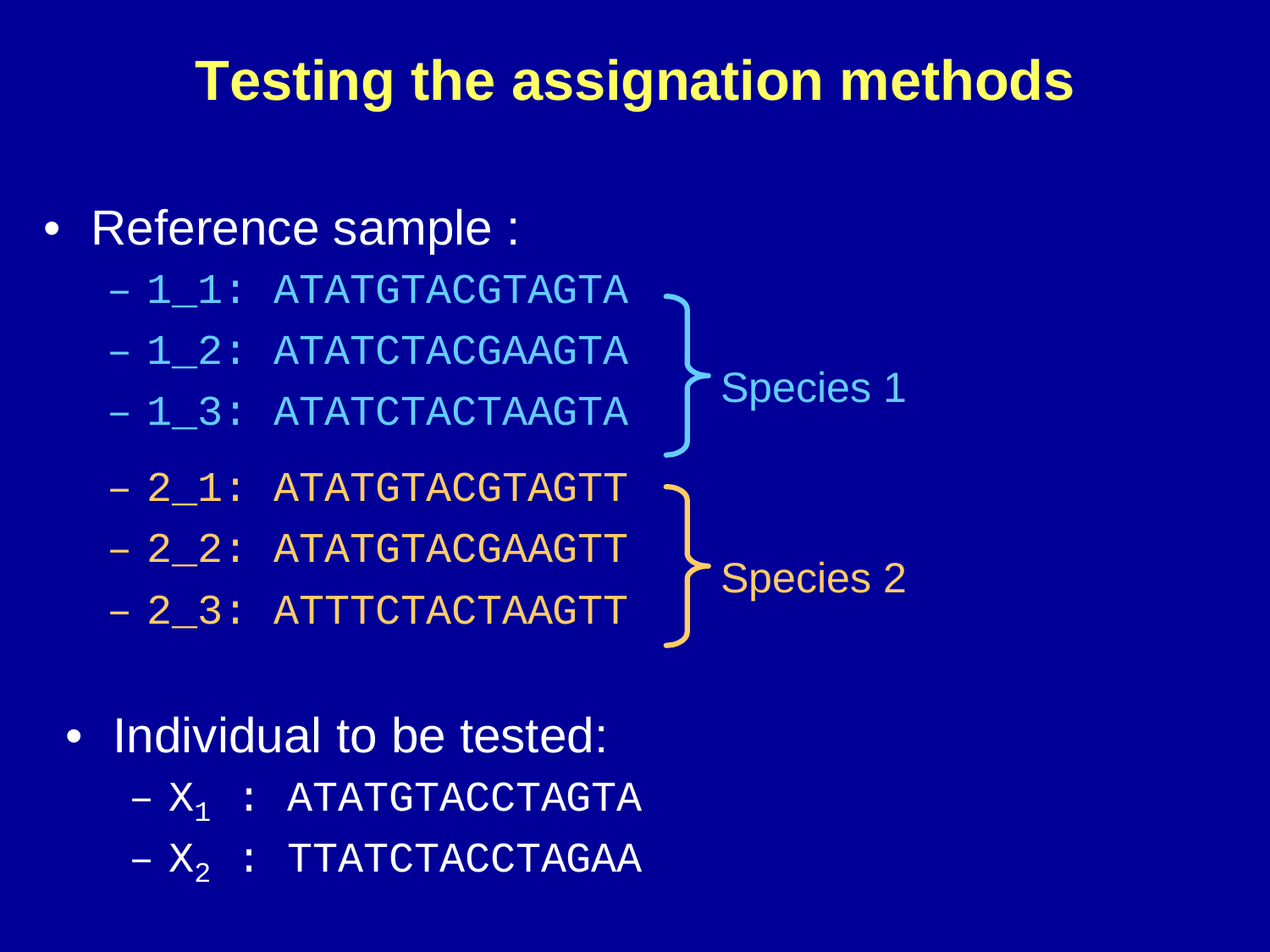### **Testing the assignation methods**



- Individual to be tested:
	- $X_{\frac{1}{2}}$ 1 $_1$  : ATATGTACCTAGTA
	- $X_i$ 2 $_2$  : TTATCTACCTAGAA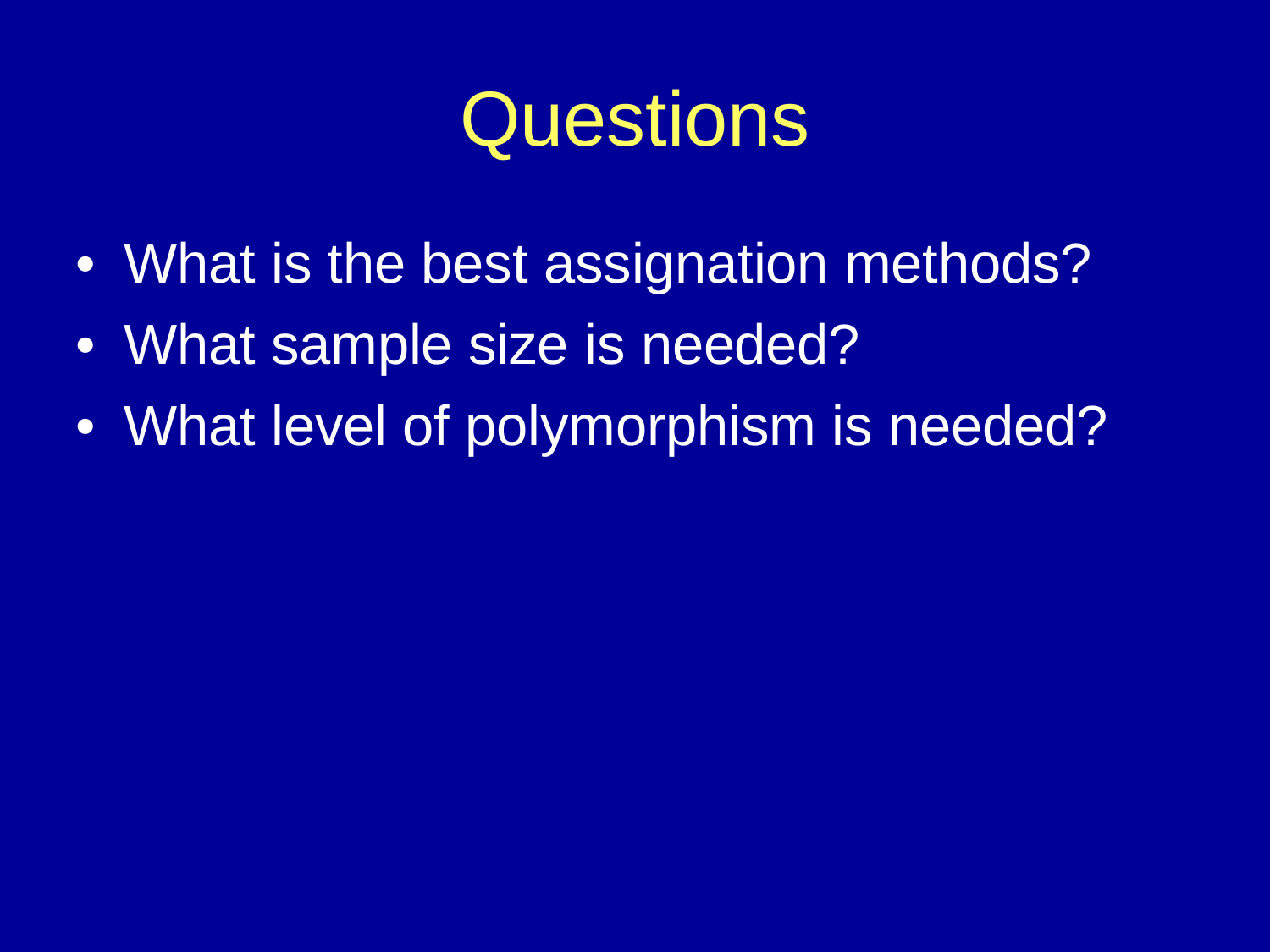# **Questions**

- What is the best assignation methods?
- What sample size is needed?
- What level of polymorphism is needed?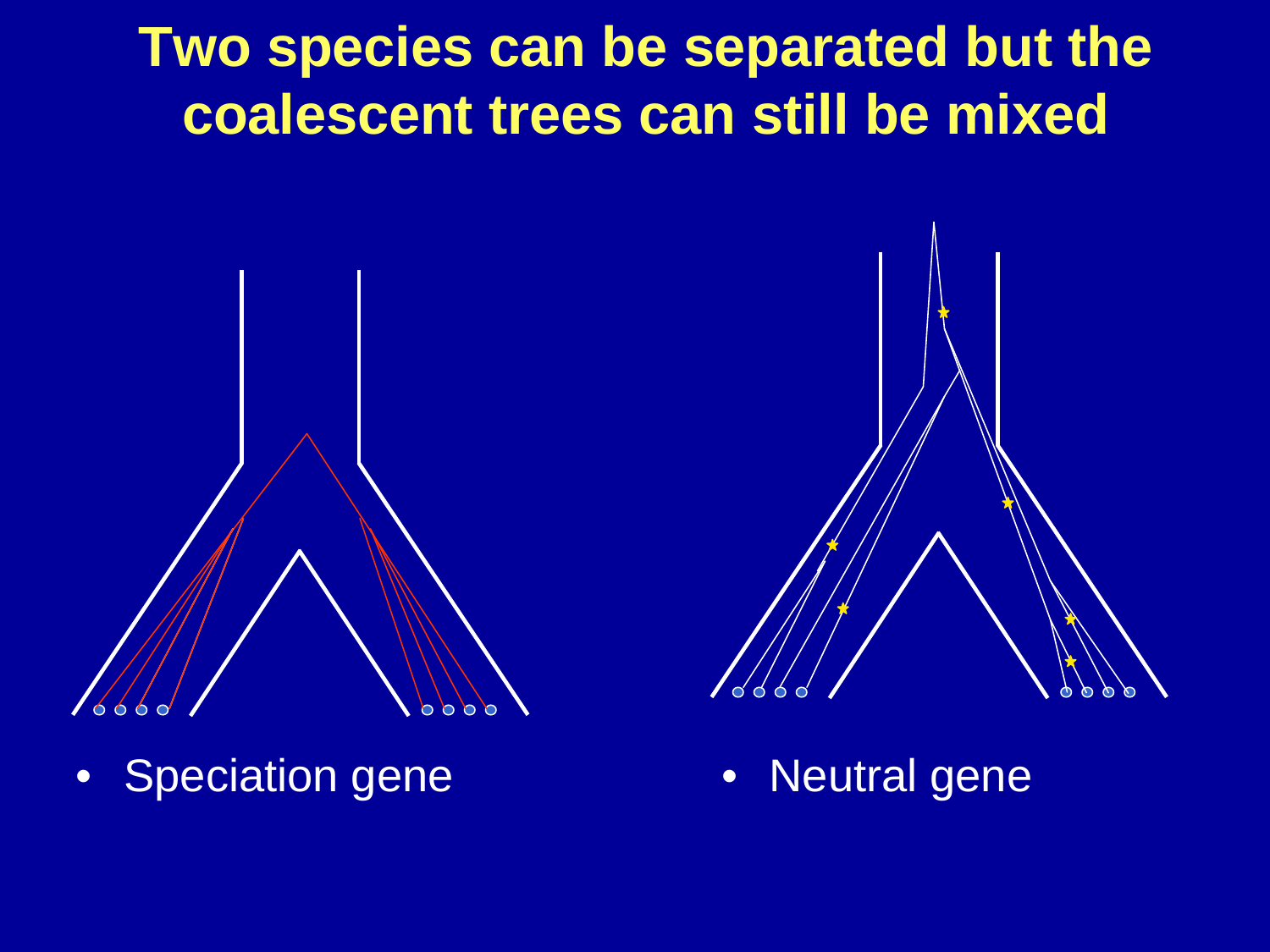### **Two species can be separated but the coalescent trees can still be mixed**



•Speciation gene



• Neutral gene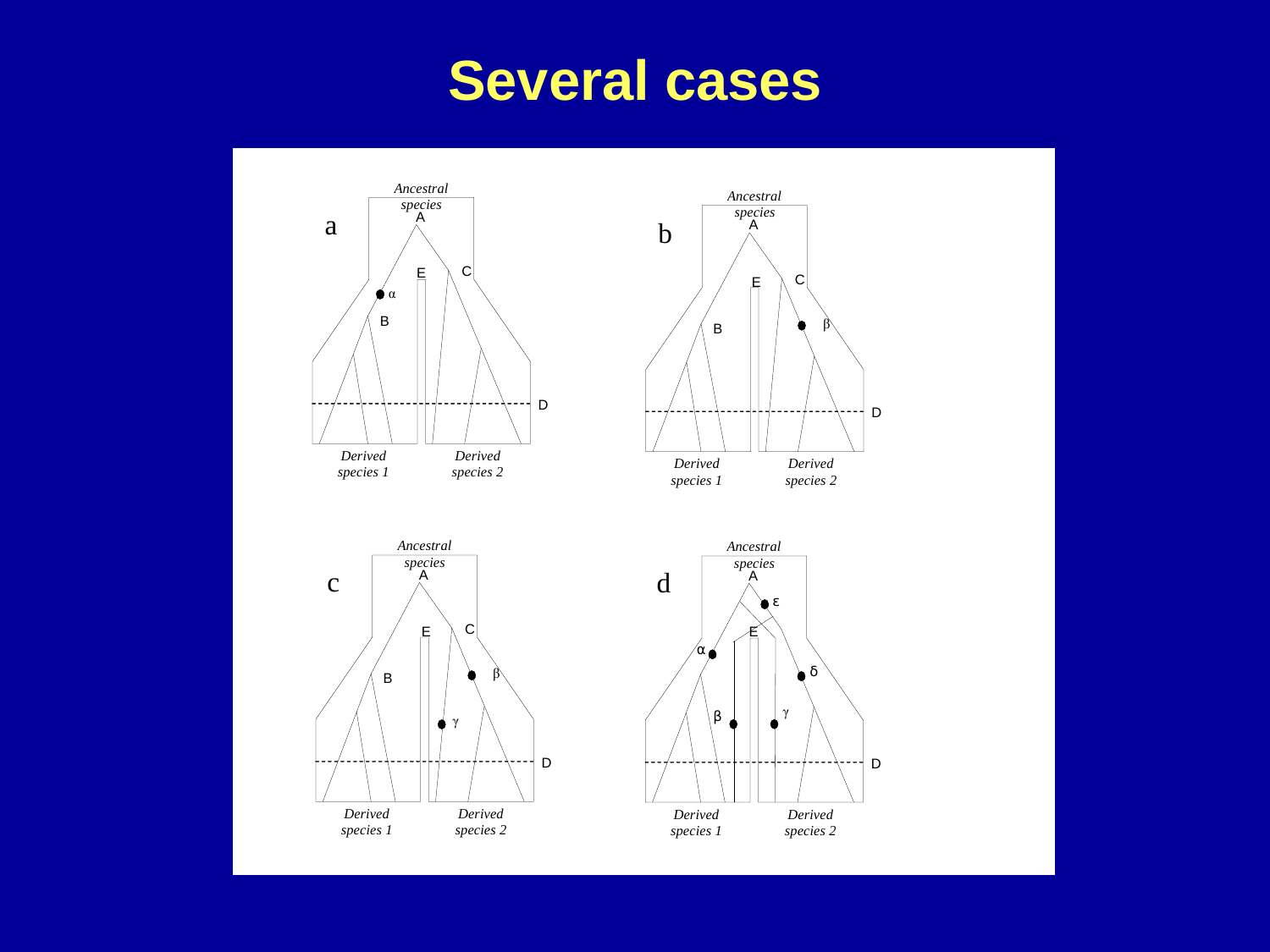### **Several cases**

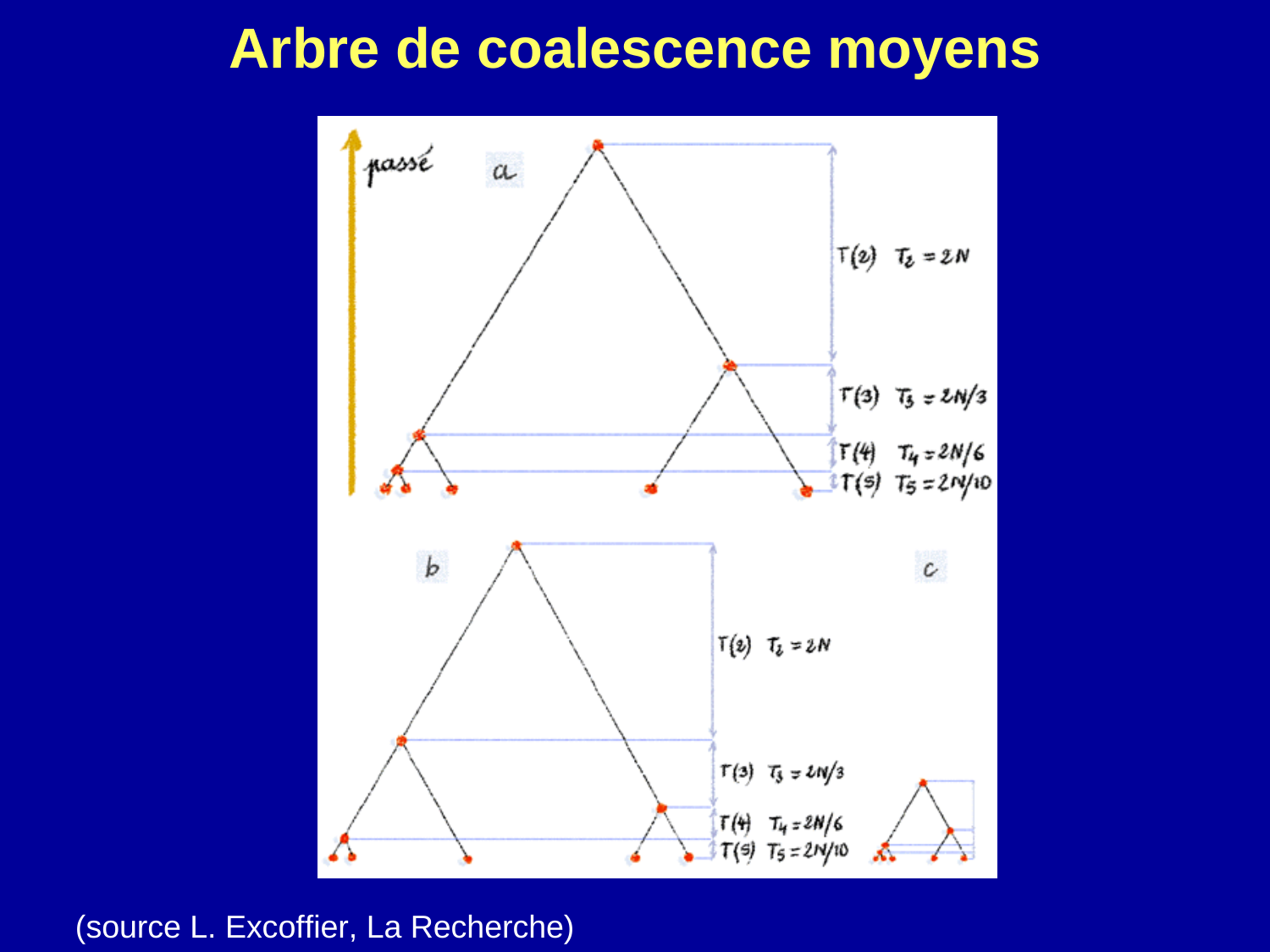#### **Arbre de coalescence moyens**



(source L. Excoffier, La Recherche)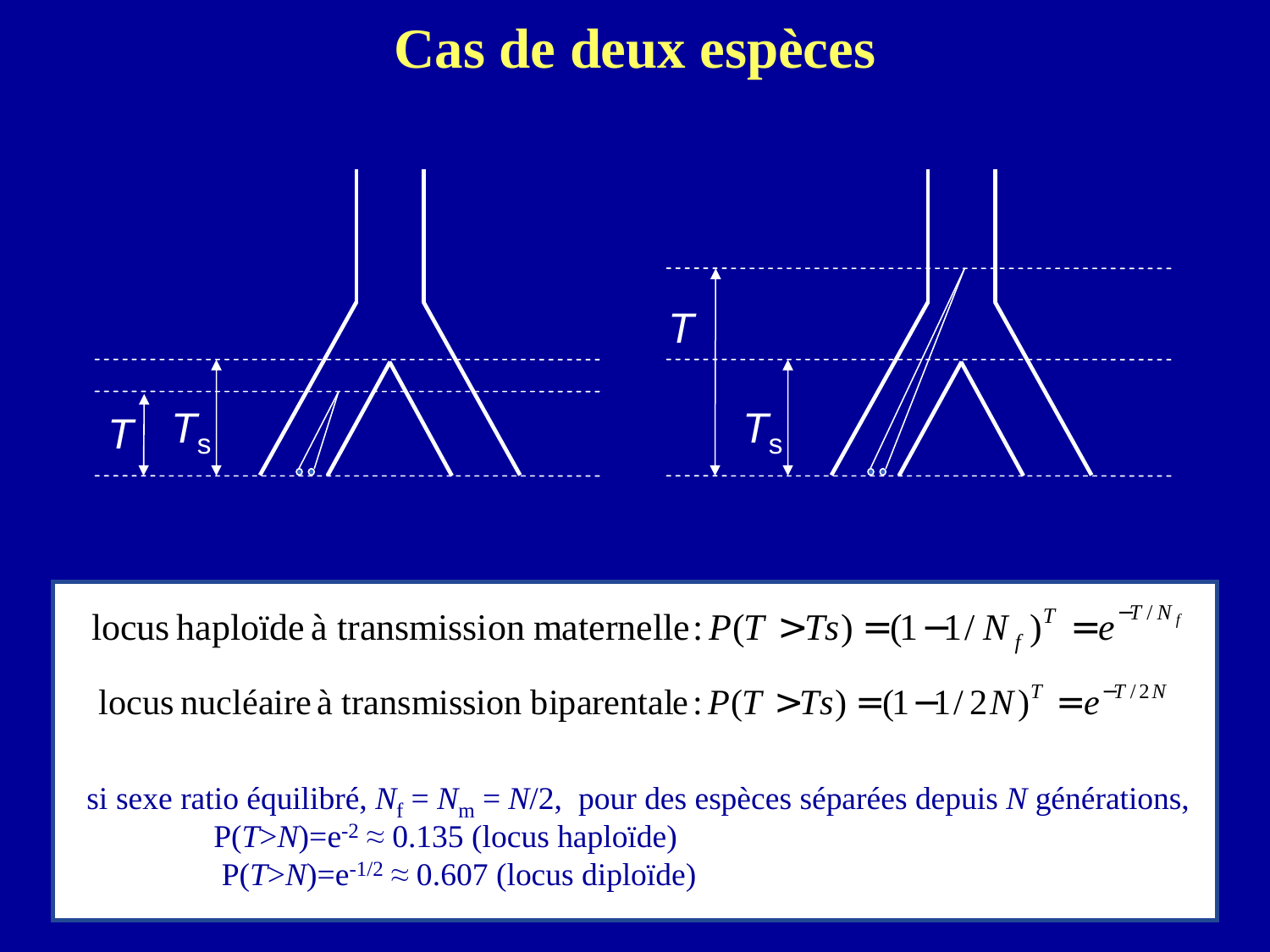#### **Cas de deux espèces**



 $T = e^{-T/N_f}$ *f*  $P(T > Ts) = (1 - 1/N_f)^T = e^{-T/T}$ 

*I* docus nucléaire à transmission biparentale :  $P(T > Ts) = (1 - 1/2N)^T = e^{-T/2N}$ 

si sexe ratio équilibré,  $N_f = N_m = N/2$ , pour des espèces séparées depuis *N* générations,  $P(T > N) = e^{-2} \approx 0.135$  (locus haploïde)  $P(T > N) = e^{-1/2} \approx 0.607$  (locus diploïde)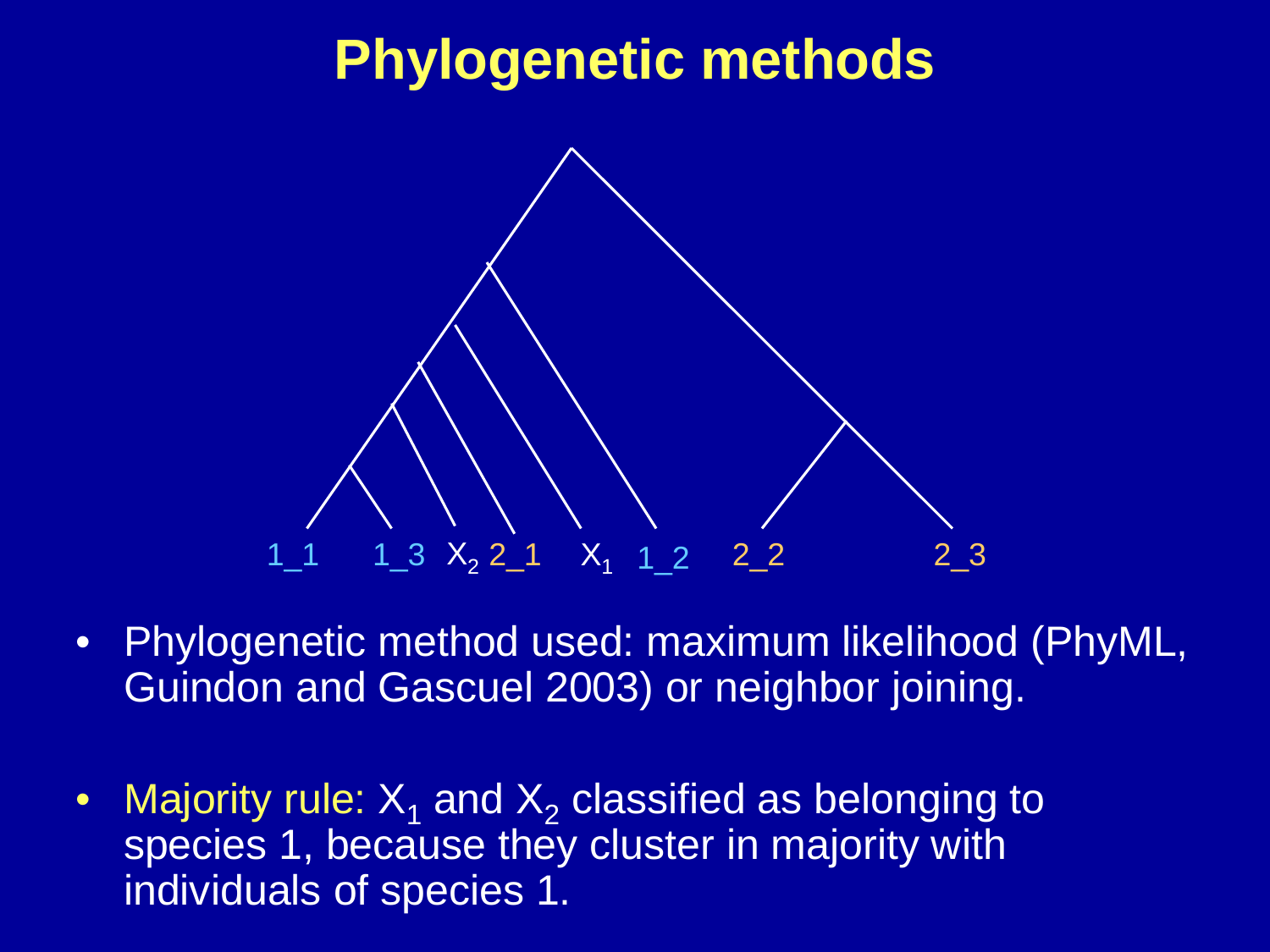# **Phylogenetic methods**



- Phylogenetic method used: maximum likelihood (PhyML, Guindon and Gascuel 2003) or neighbor joining.
- Majority rule:  $X_1$  and  $X_2$  classified as belonging to species 1, because they cluster in majority with individuals of species 1.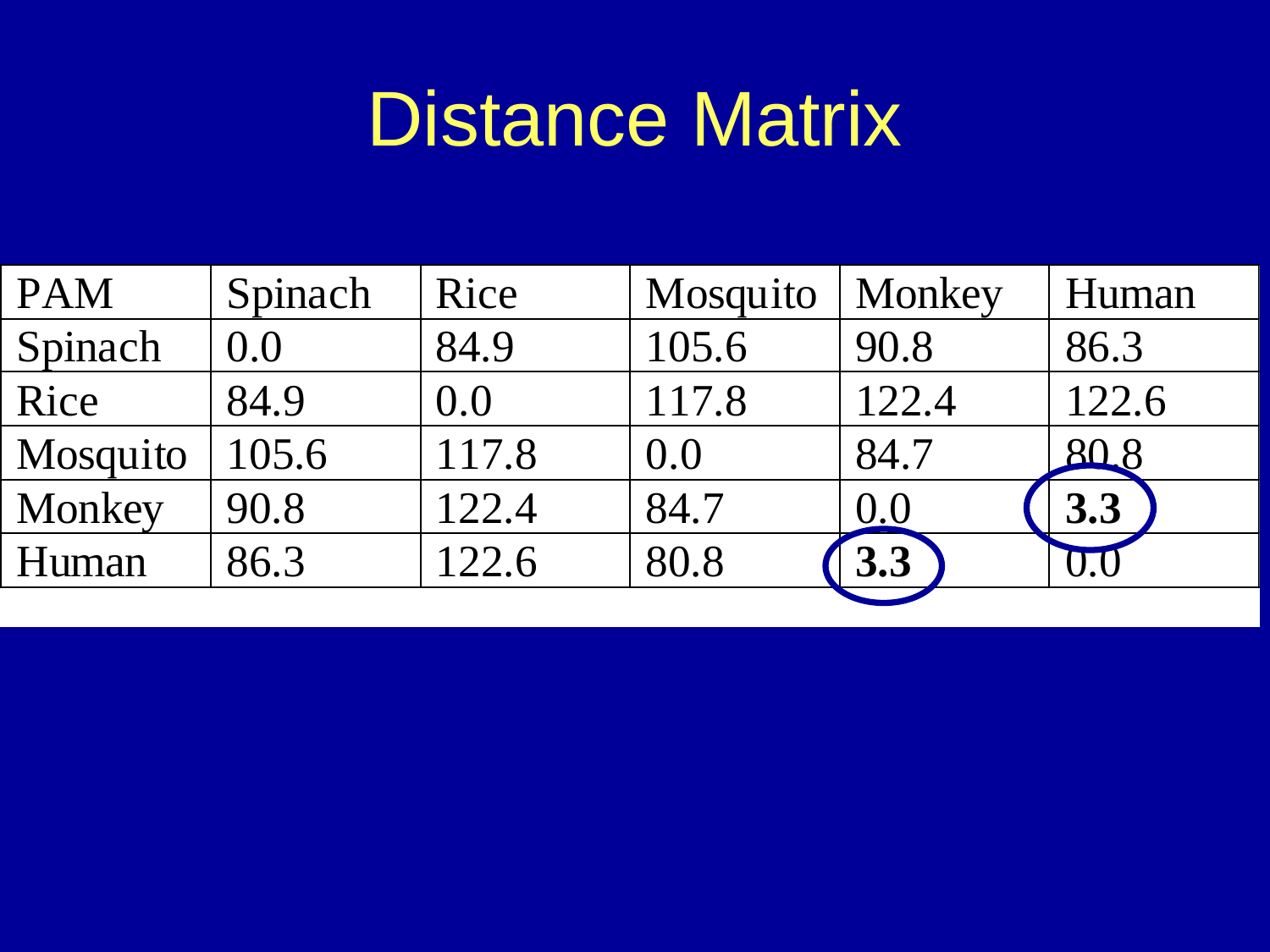#### What is required for the New York is required for the New York is required to require the New York is required Distance Matrix

| <b>PAM</b> | Spinach | Rice  | Mosquito | Monkey | Human |
|------------|---------|-------|----------|--------|-------|
| Spinach    | 0.0     | 84.9  | 105.6    | 90.8   | 86.3  |
| Rice       | 84.9    | 0.0   | 117.8    | 122.4  | 122.6 |
| Mosquito   | 105.6   | 117.8 | (0.0)    | 84.7   | 808   |
| Monkey     | 90.8    | 122.4 | 84.7     | 0.0    | 3.3   |
| Human      | 86.3    | 122.6 | 80.8     | 3.3    |       |
|            |         |       |          |        |       |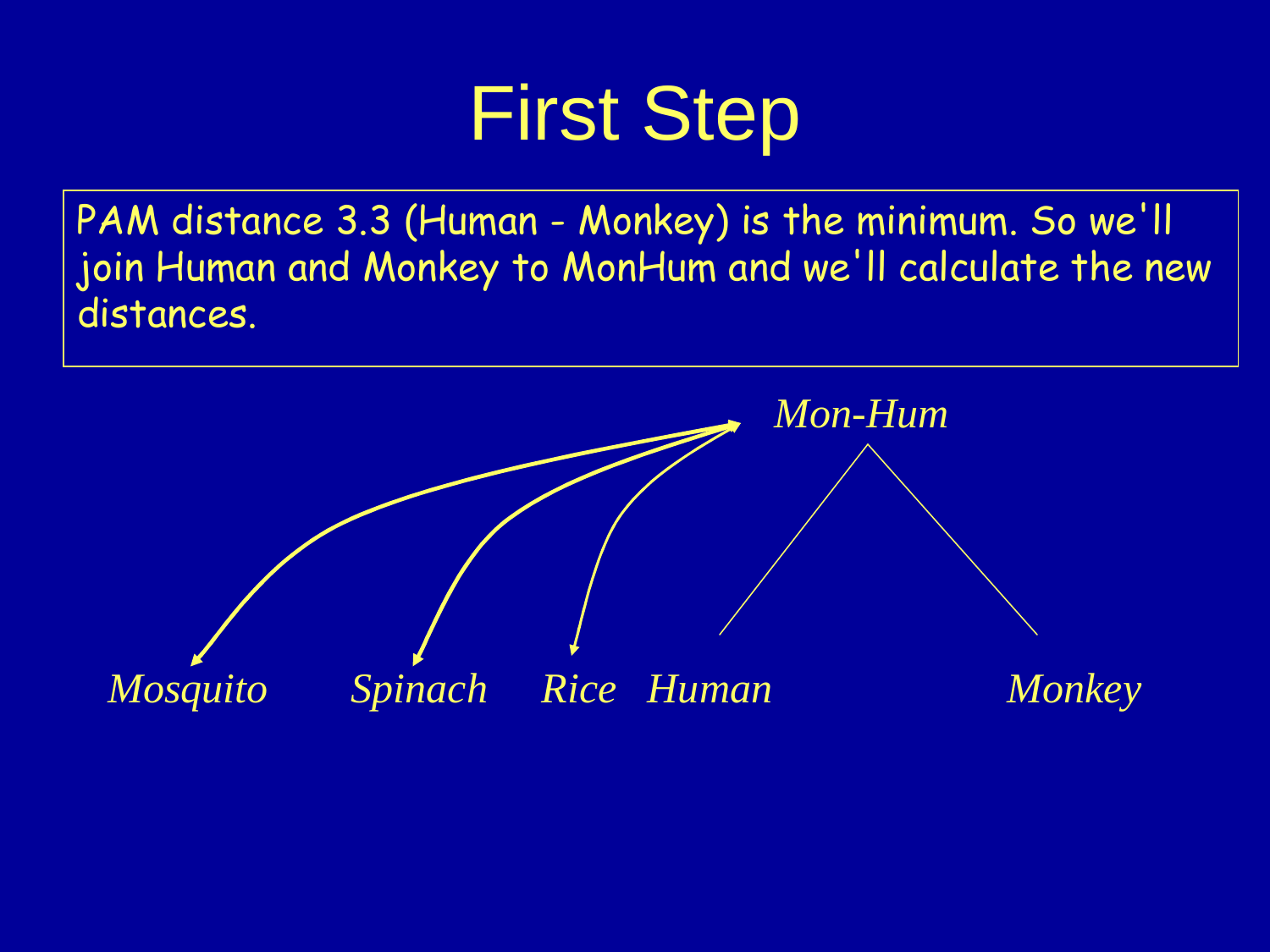# First Step

PAM distance 3.3 (Human - Monkey) is the minimum. So we'll join Human and Monkey to MonHum and we'll calculate the new distances.

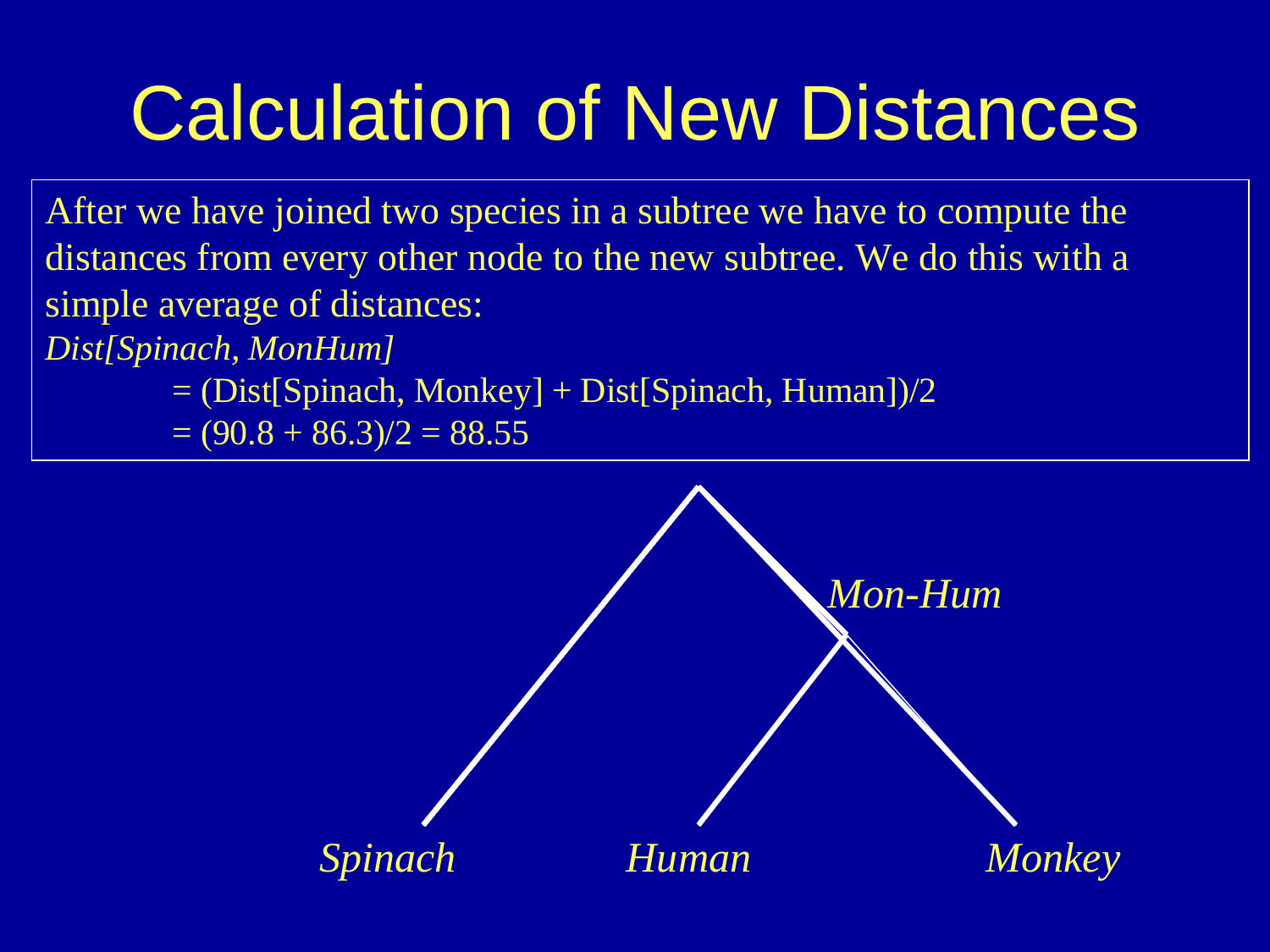# Calculation of New Distances

After we have joined two species in a subtree we have to compute the distances from every other node to the new subtree. We do this with a simple average of distances:

*Dist[Spinach, MonHum]* 

= (Dist[Spinach, Monkey] + Dist[Spinach, Human])/2

 $=(90.8 + 86.3)/2 = 88.55$ 

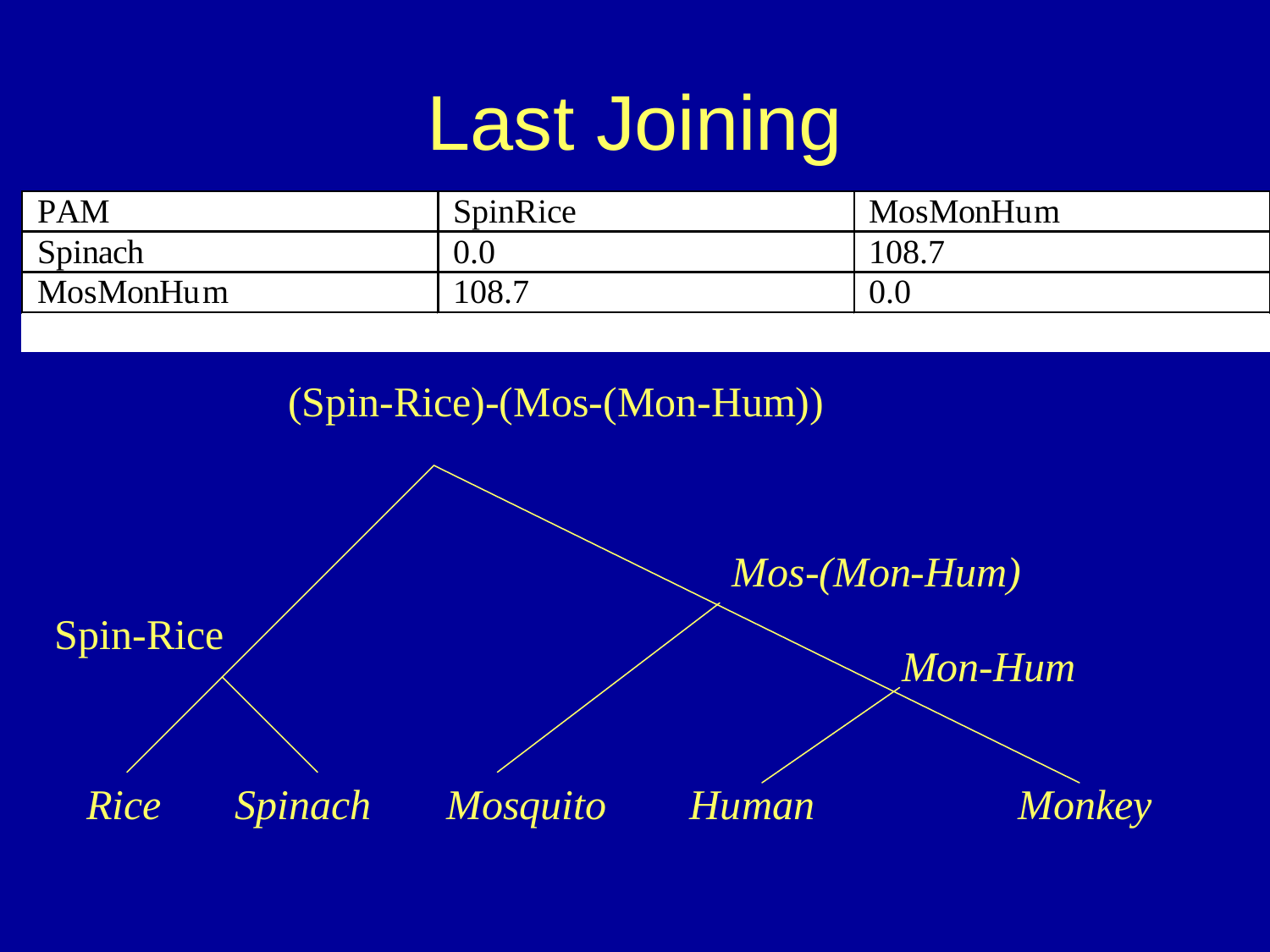# Last Joining

| <b>PAM</b> | SpinRice | MosMonHum |
|------------|----------|-----------|
| Spinach    | 0.0      | 108.7     |
| MosMonHum  | 108.7    | 0.0       |

(Spin-Rice)-(Mos-(Mon-Hum))

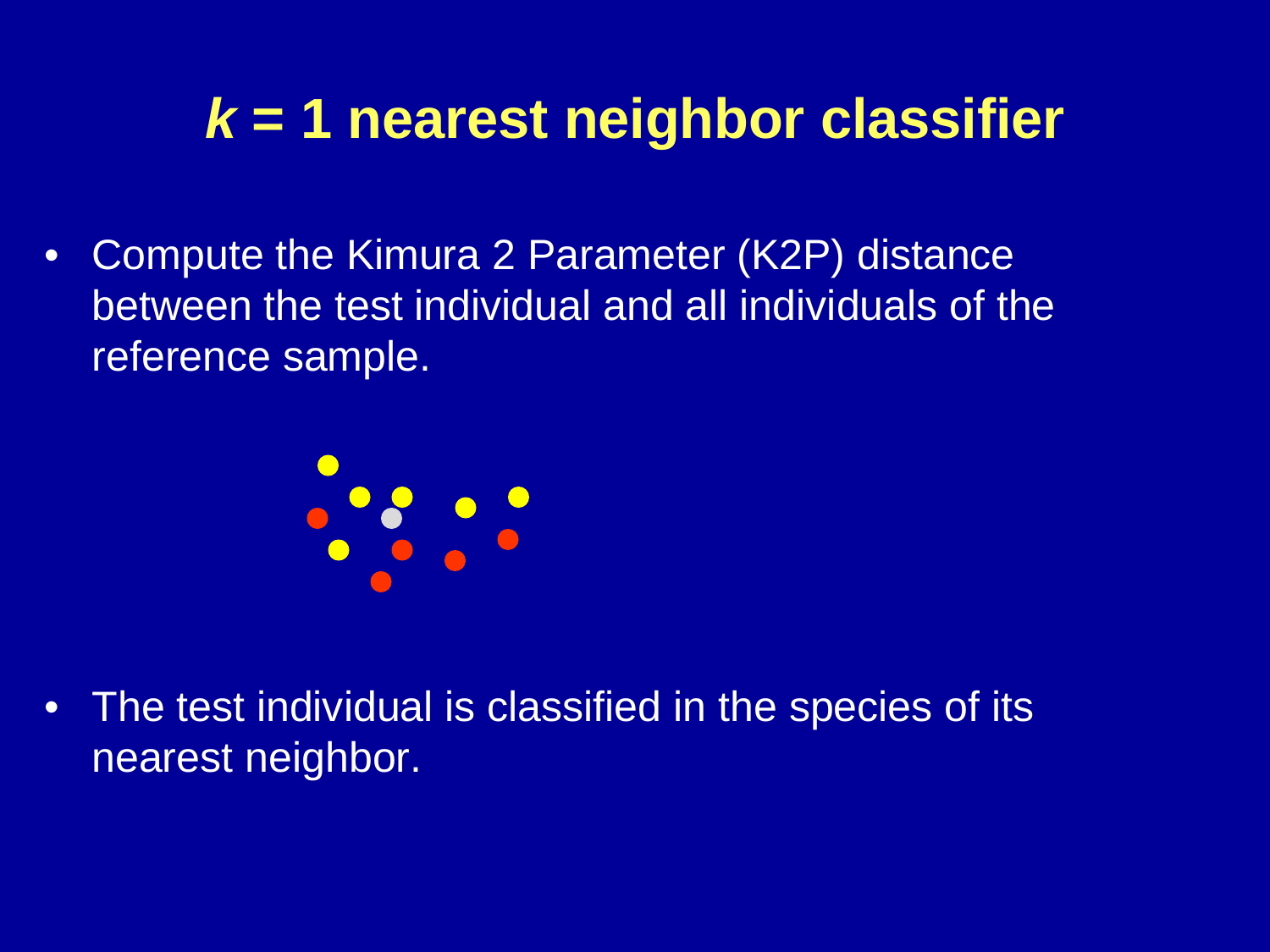# **k = 1 nearest neighbor classifier**

 $\bullet$  Compute the Kimura 2 Parameter (K2P) distance between the test individual and all individuals of the reference sample.



 $\bullet$  The test individual is classified in the species of its nearest neighbor.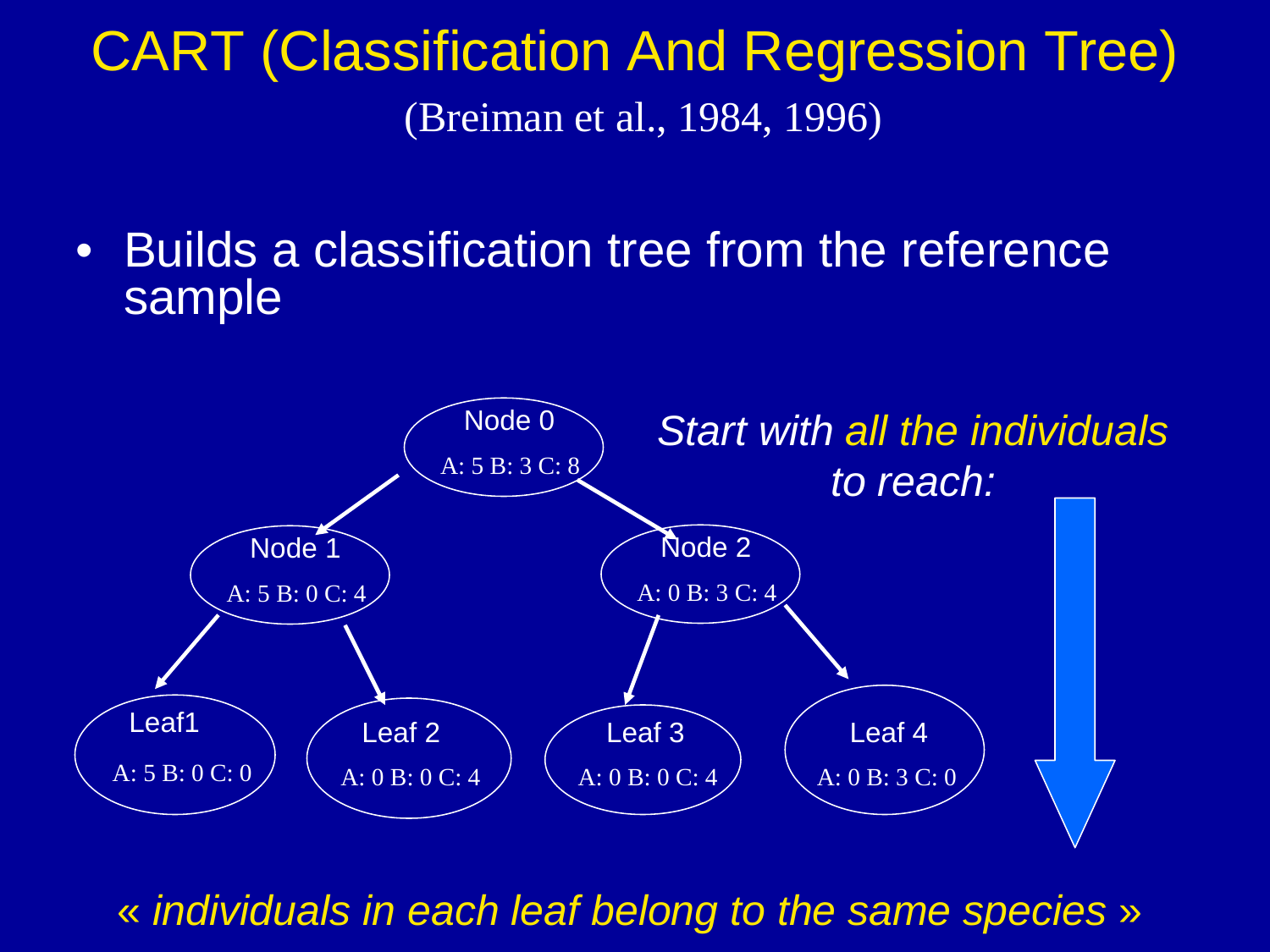### CART (Classification And Regression Tree) (Breiman et al., 1984, 1996)

• Builds a classification tree from the reference sample



« individuals in each leaf belong to the same species »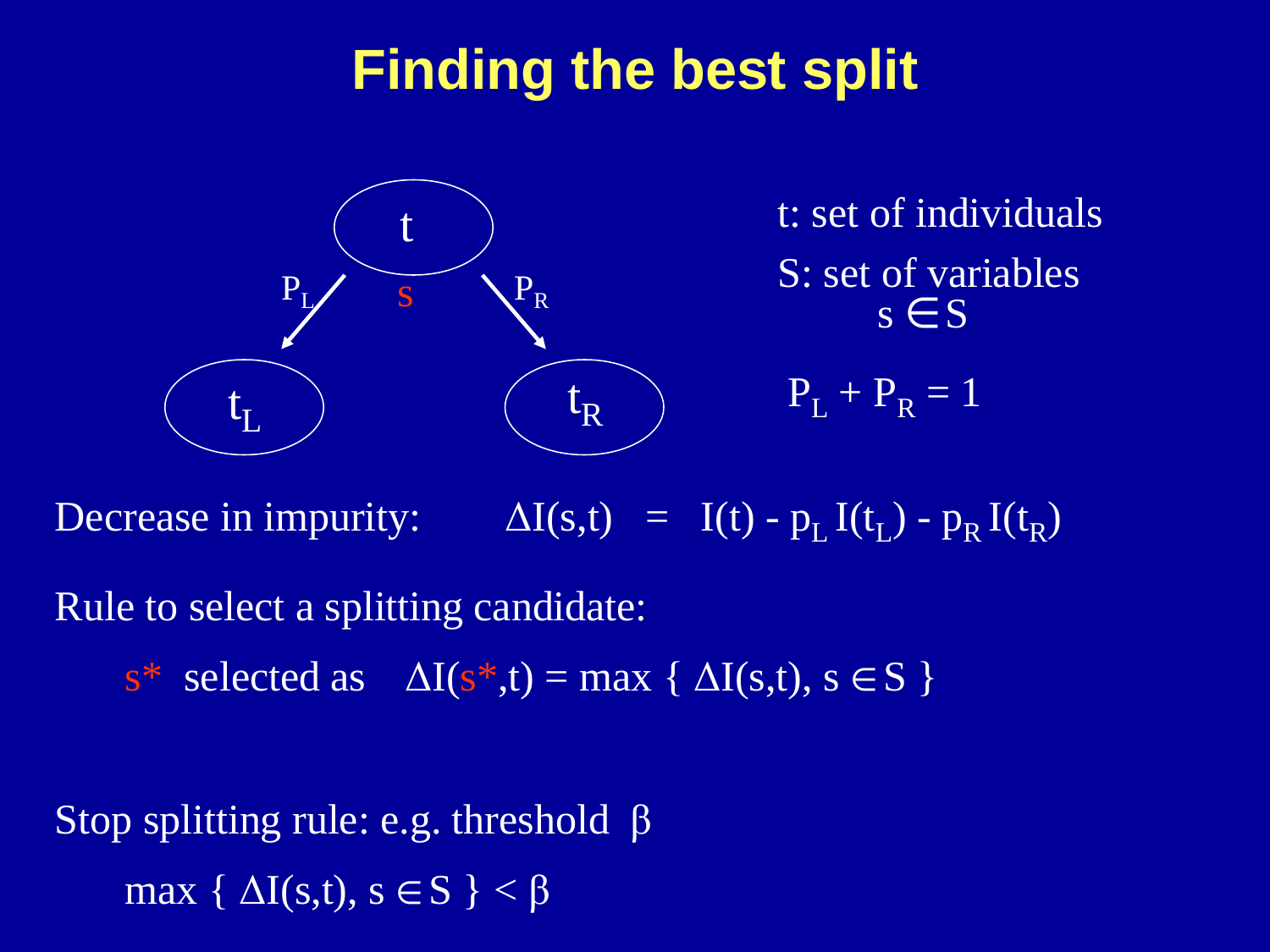### **Finding the best split**



 $s \in S$ S: set of variables t: set of individuals

 $P_{L} + P_{R} = 1$ 

Decrease in impurity:  $\Delta I(s,t) = I(t) - p_L I(t_L) - p_R I(t_R)$ 

Rule to select a splitting candidate:

 $s^*$  selected as  $\Delta I(s^* ,t) = \max {\{\Delta I(s,t), s \in S\}}$ 

Stop splitting rule: e.g. threshold βmax {  $\Delta I(s,t)$ ,  $s \in S$  }  $< \beta$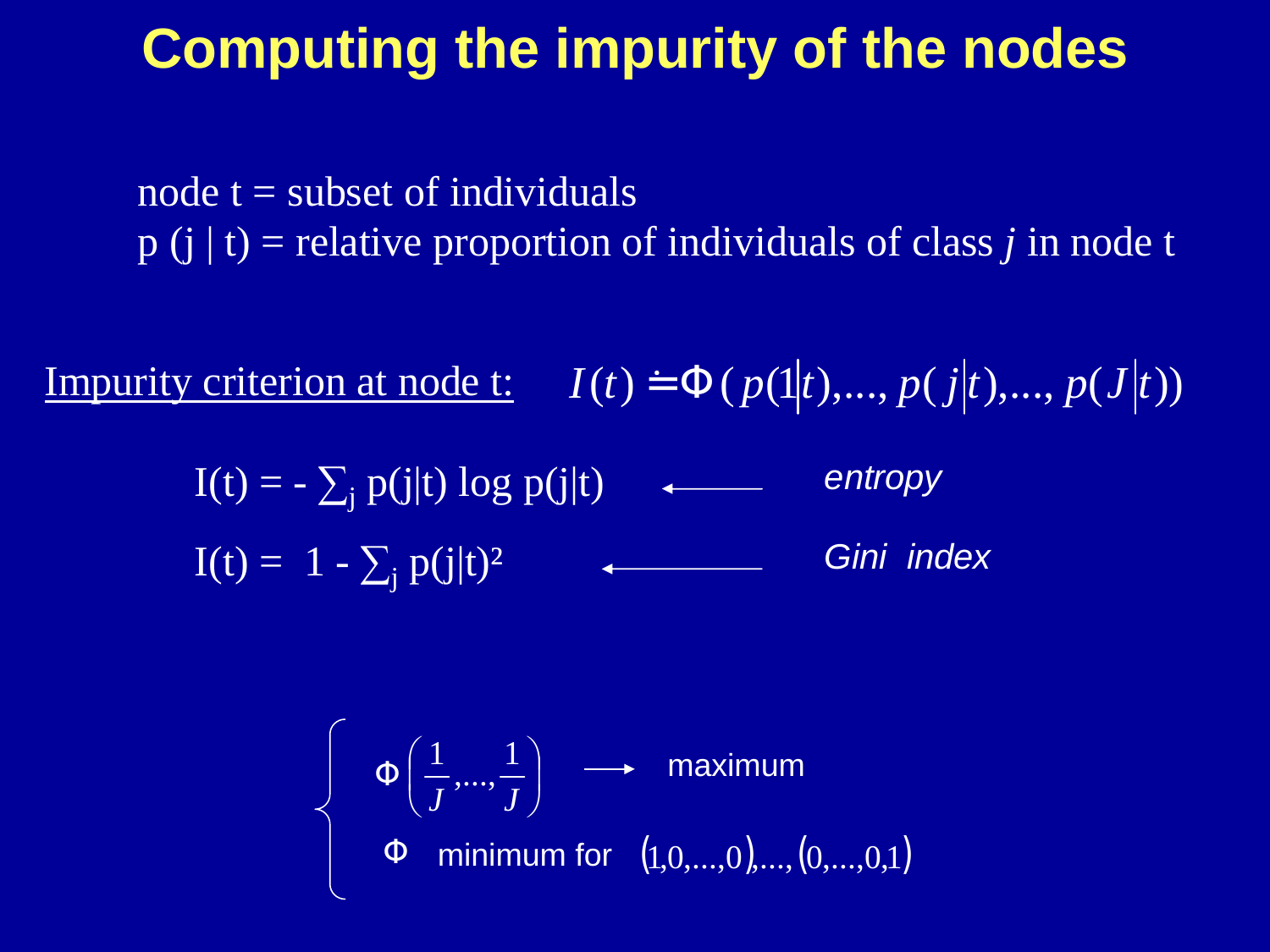### **Computing the impurity of the nodes**

node  $t =$  subset of individuals p (j | t) = relative proportion of individuals of class *j* in node t

Impurity criterion at node t:  $I(t) \doteq \Phi(p(1|t),...,p(j|t),...,p(J|t))$ 

 $I(t) = -\sum_j p(j|t) \log p(j|t)$  entropy  $I(t) = 1 - \sum_j p(j|t)^2$  (Gini index

$$
\begin{cases} \Phi\left(\frac{1}{J},\ldots,\frac{1}{J}\right) \longrightarrow \text{maximum} \\ \Phi \text{ minimum for } (1,0,\ldots,0),\ldots,(0,\ldots,0,1) \end{cases}
$$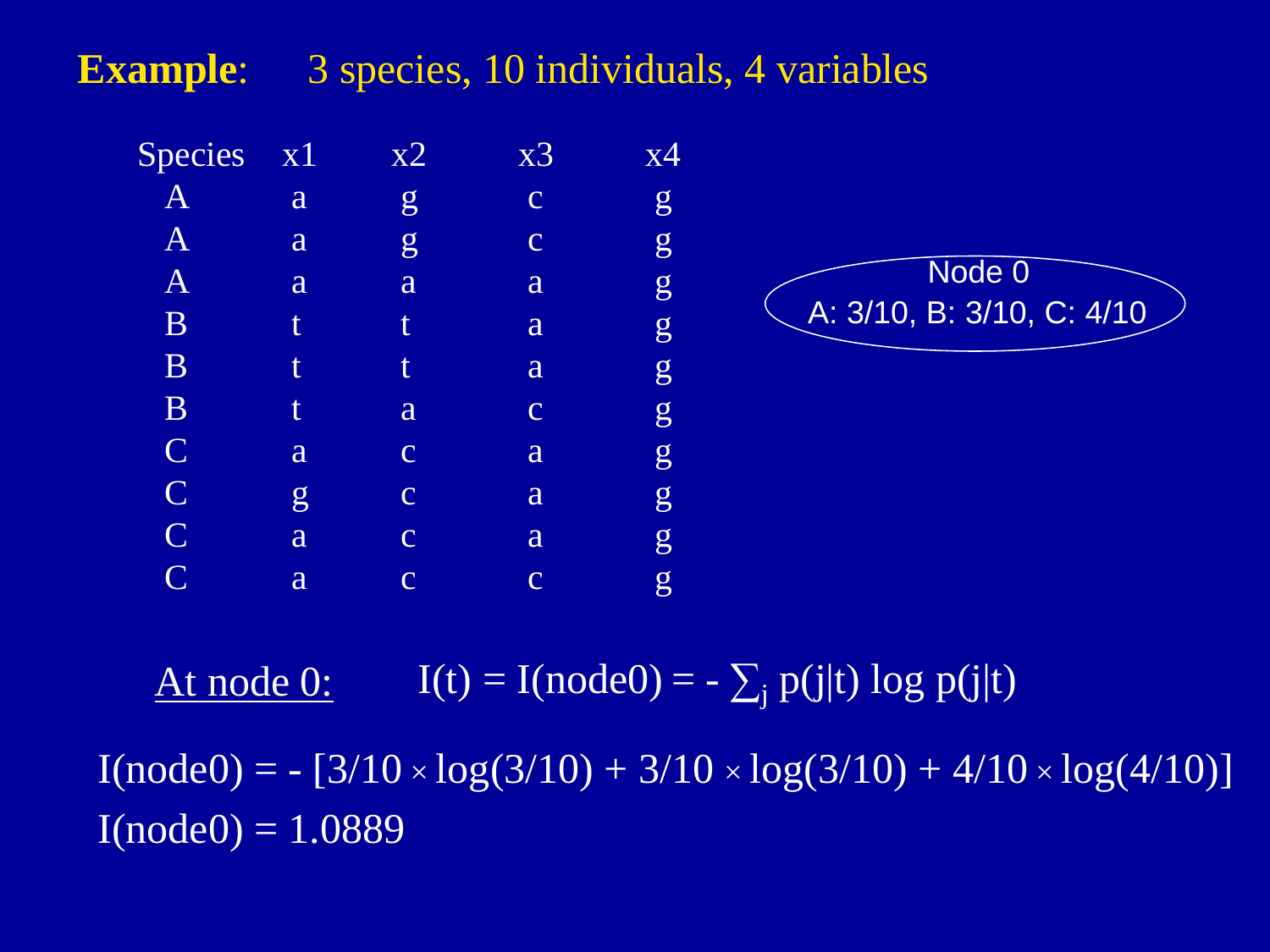#### **Example**:3 species, 10 individuals, 4 variables



#### At node 0: $I(t) = I(node0) = -\sum_j p(j|t) log p(j|t)$

 $I(node0) = - [3/10 \times log(3/10) + 3/10 \times log(3/10) + 4/10 \times log(4/10)]$  $I(node0) = 1.0889$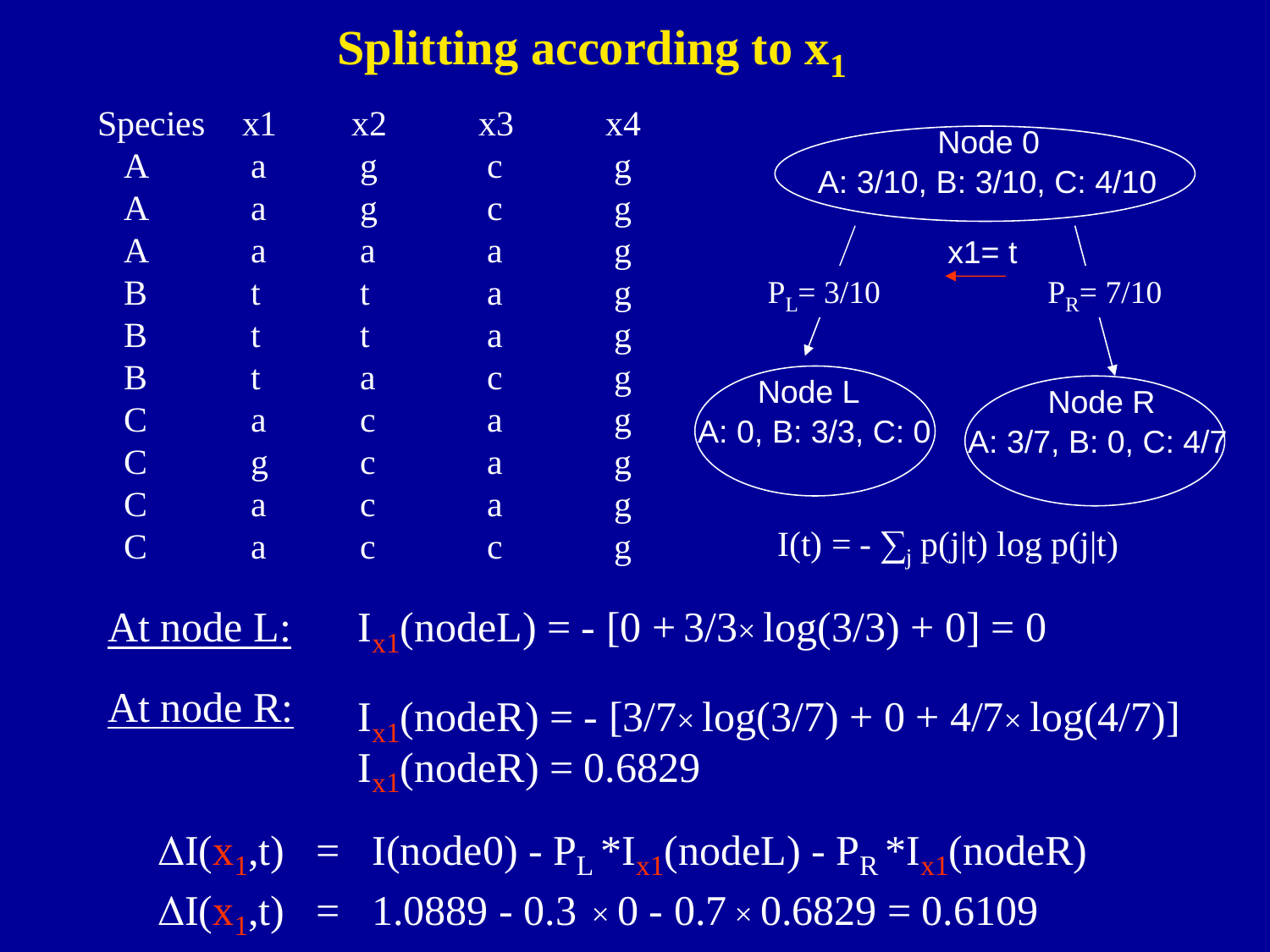#### **Splitting according to x1**

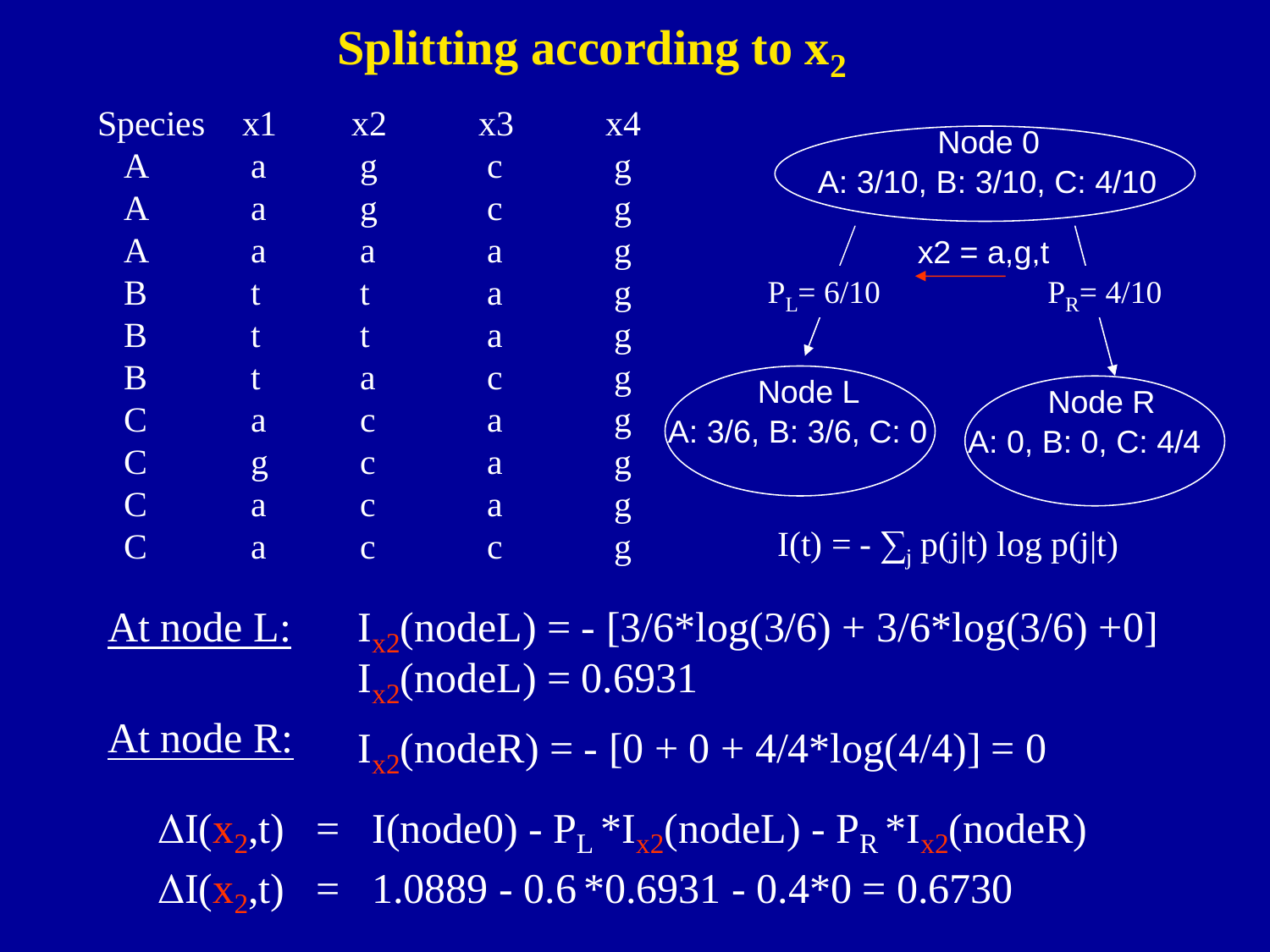#### **Splitting according to x2**

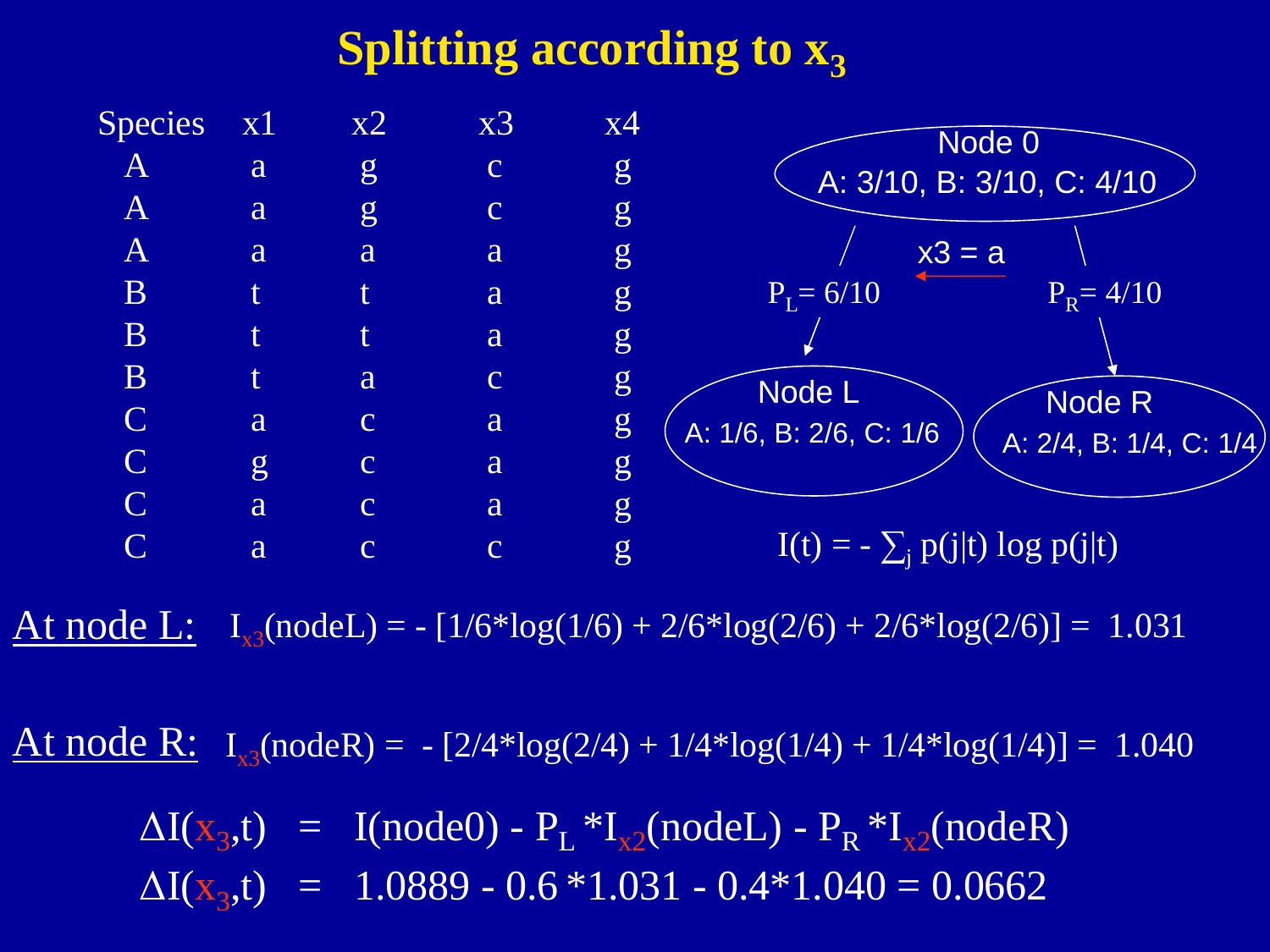#### **Splitting according to**  $\mathbf{x}_3$



At node L:  $I_{x3}(node) = -[1/6*log(1/6) + 2/6*log(2/6) + 2/6*log(2/6)] = 1.031$ 

At node R:  $I_{x3}(nodeR) = -[2/4*log(2/4) + 1/4*log(1/4) + 1/4*log(1/4)] = 1.040$ 

 $\Delta I(x_3,t) = I(node0) - P_L * I_{x2}(nodeL) - P_R * I_{x2}(nodeR)$  $\Delta I(x_3,t) = 1.0889 - 0.6 *1.031 - 0.4 *1.040 = 0.0662$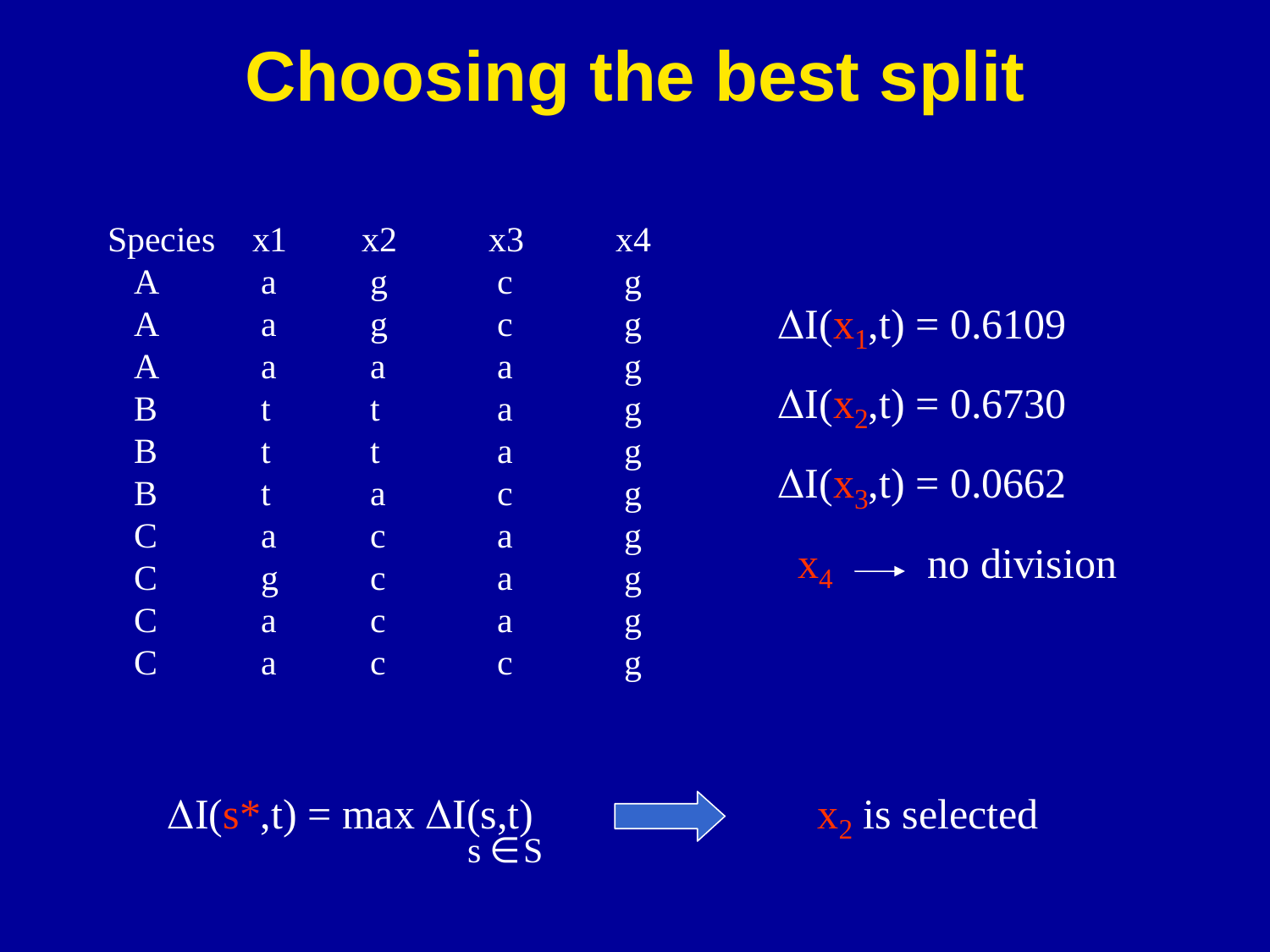# **Choosing the best split**

| Species      | x1 | x2             | X3             | х4 |
|--------------|----|----------------|----------------|----|
| $\bm{A}$     | a  | $\overline{g}$ | $\overline{C}$ | g  |
| $\bm{A}$     | a  | g              | $\overline{C}$ | g  |
| $\mathbf{A}$ | a  | a              | a              | g  |
| B            | t  | t              | a              | g  |
| B            | t  | t              | a              | g  |
| B            | t  | a              | $\overline{C}$ | g  |
| $\mathbf C$  | a  | $\overline{C}$ | a              | g  |
| $\mathbf C$  | g  | $\overline{C}$ | a              | g  |
| $\mathbf C$  | a  | $\overline{C}$ | a              | g  |
| $\mathbf C$  | a  | $\overline{C}$ | $\overline{C}$ | g  |

 $\Delta I(x_2,t) = 0.6730$  $\Delta I(\rm{x}_{1},t) = 0.6109$  $\Delta I(x_3,t) = 0.0662$  $x_4 \longrightarrow$  no division

 $\Delta I(s^* ,t) = \max \Delta I(s,t)$  $s \in S$ 



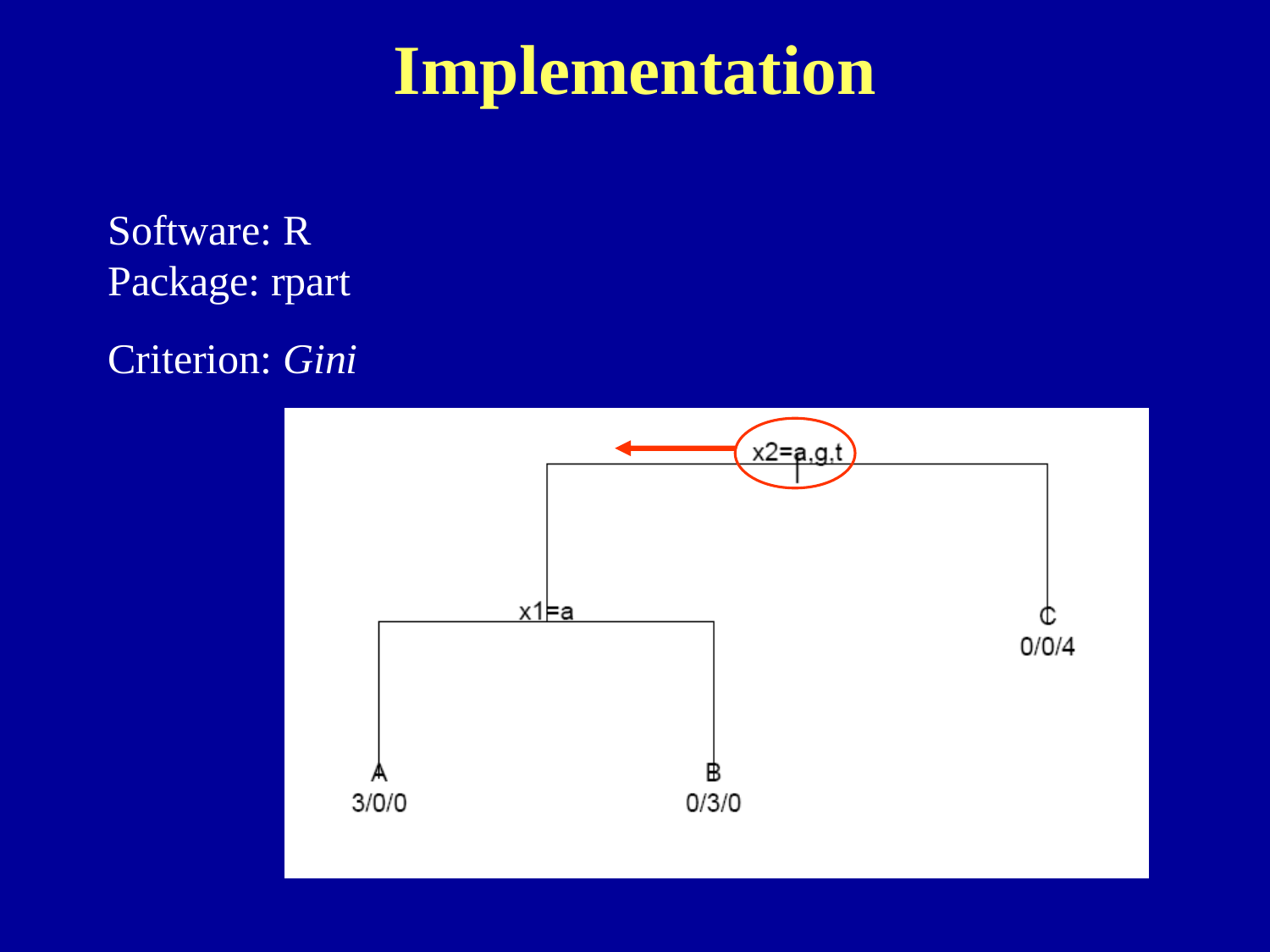## **Implementation**

Software: RPackage: rpart

Criterion: *Gini*

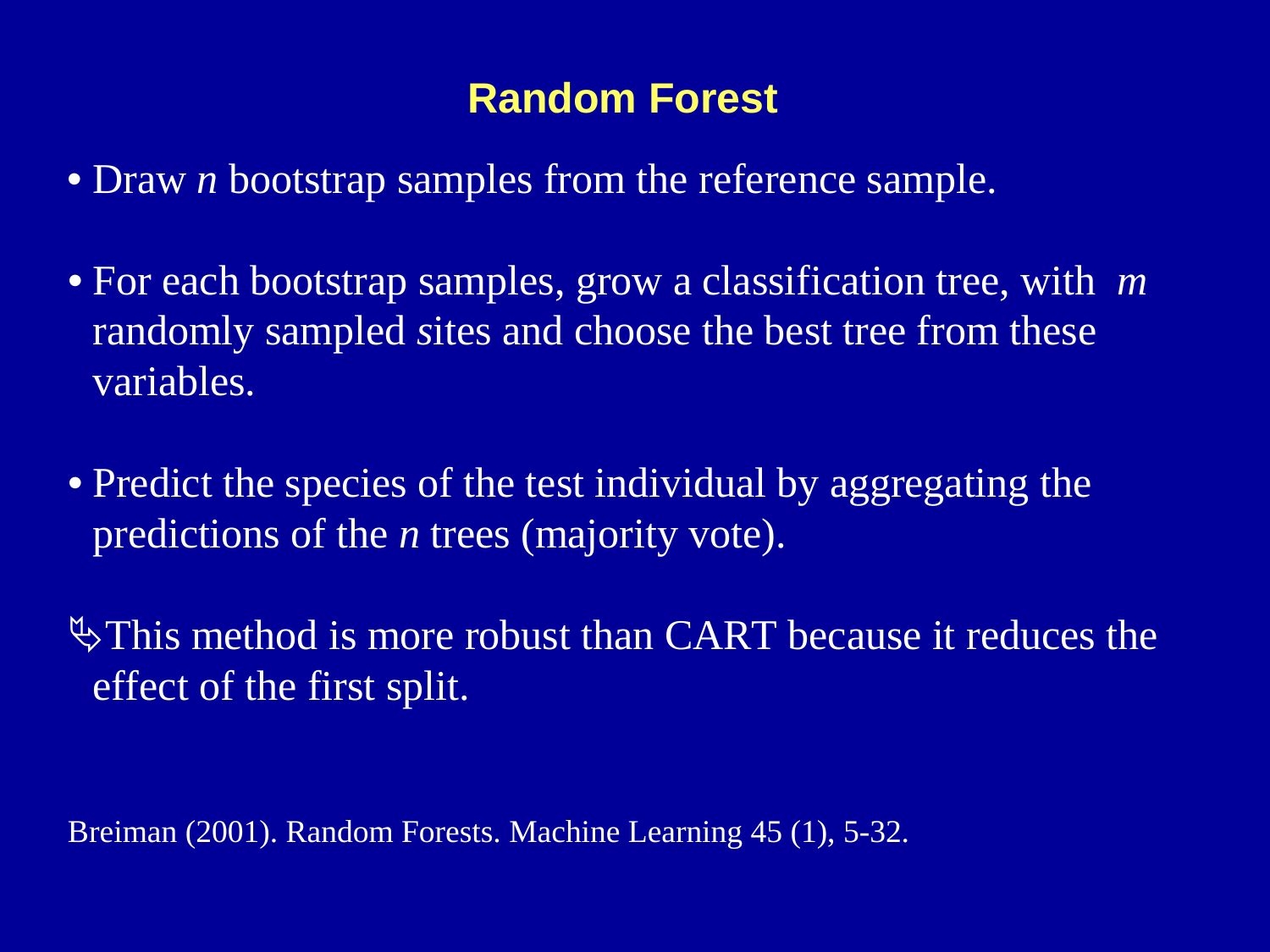#### **Random Forest**

- Draw *<sup>n</sup>* bootstrap samples from the reference sample.
- For each bootstrap samples, grow a classification tree, with *<sup>m</sup>*randomly sampled *s*ites and choose the best tree from these variables.
- Predict the species of the test individual by aggregating the predictions of the *n* trees (majority vote).

 $\Diamond$  This method is more robust than CART because it reduces the effect of the first split.

Breiman (2001). Random Forests. Machine Learning 45 (1), 5-32.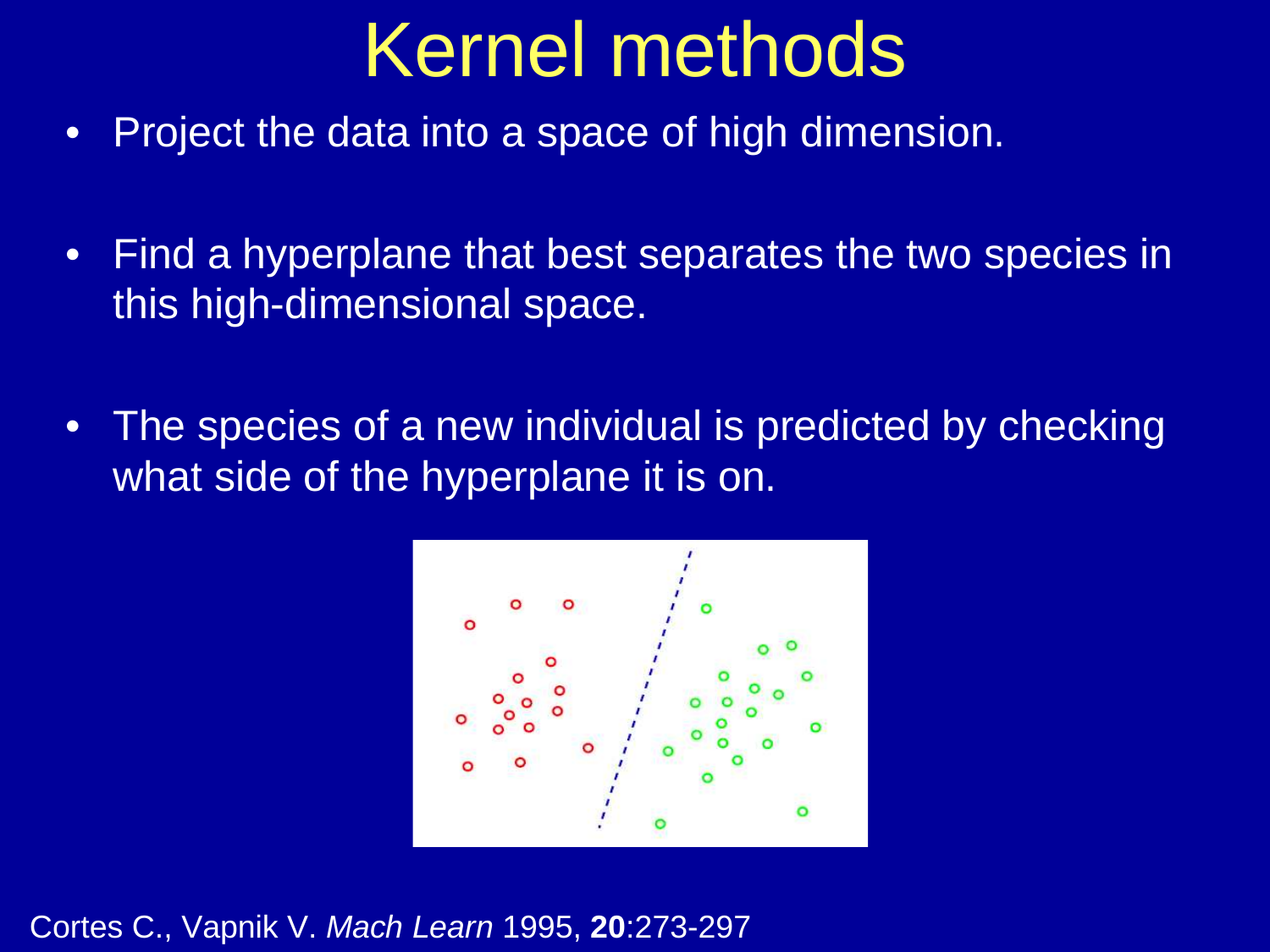#### **Kernels and the SVM** $\frac{1}{2}$  mode Kernel methods

- Project the data into a space of high dimension. •
- • Find a hyperplane that best separates the two species in this high-dimensional space.
- •The species of a new individual is predicted by checking what side of the hyperplane it is on.



Cortes C., Vapnik V. Mach Learn 1995, **20**:273-297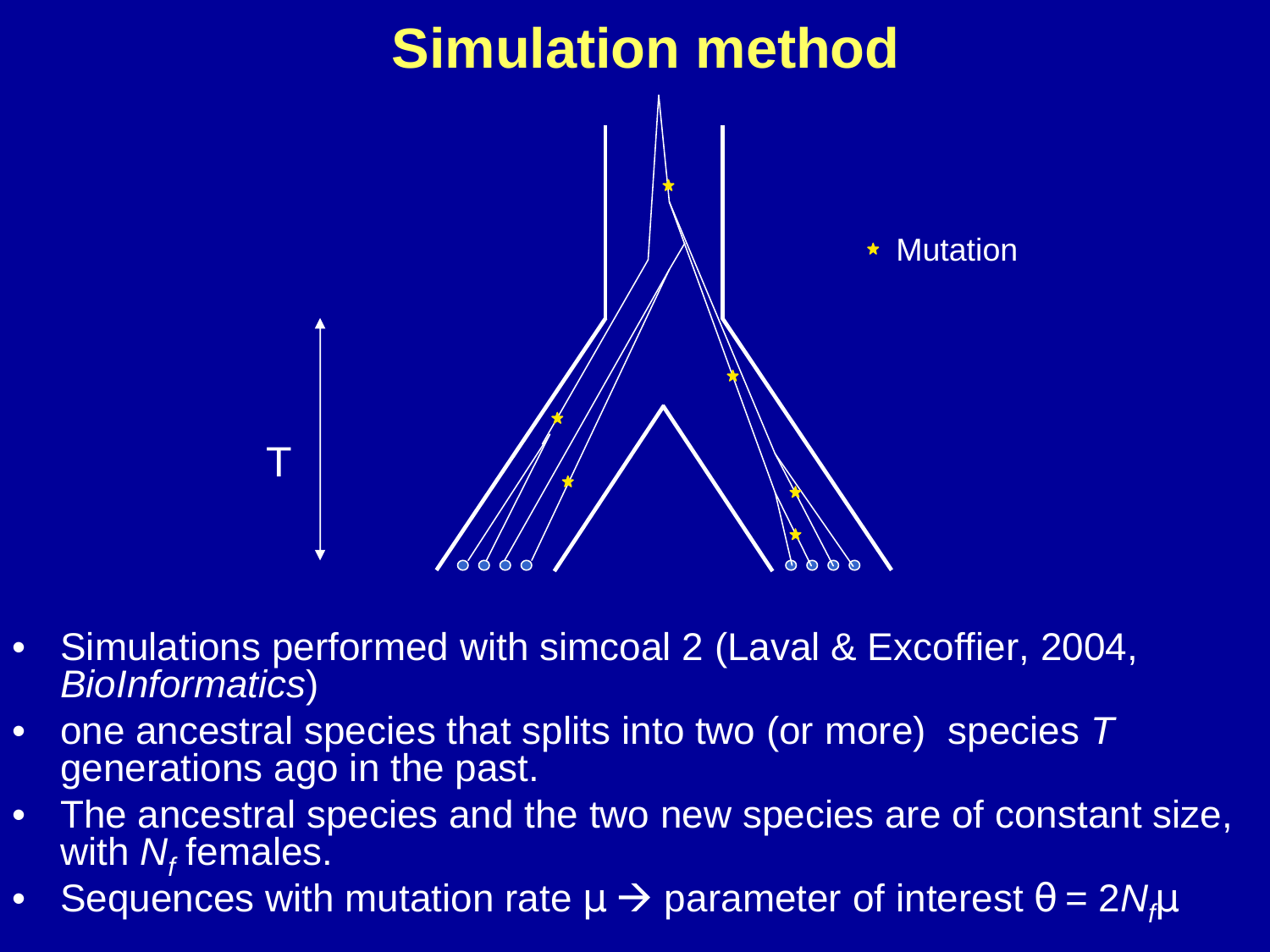

- • Simulations performed with simcoal 2 (Laval & Excoffier, 2004, BioInformatics)
- one ancestral species that splits into two (or more) species T •generations ago in the past.
- $\bullet$  The ancestral species and the two new species are of constant size, with  $N_{\!f}$ females.
- $\bullet$ Sequences with mutation rate  $\mu \rightarrow$  parameter of interest  $\theta = 2N_f\mu$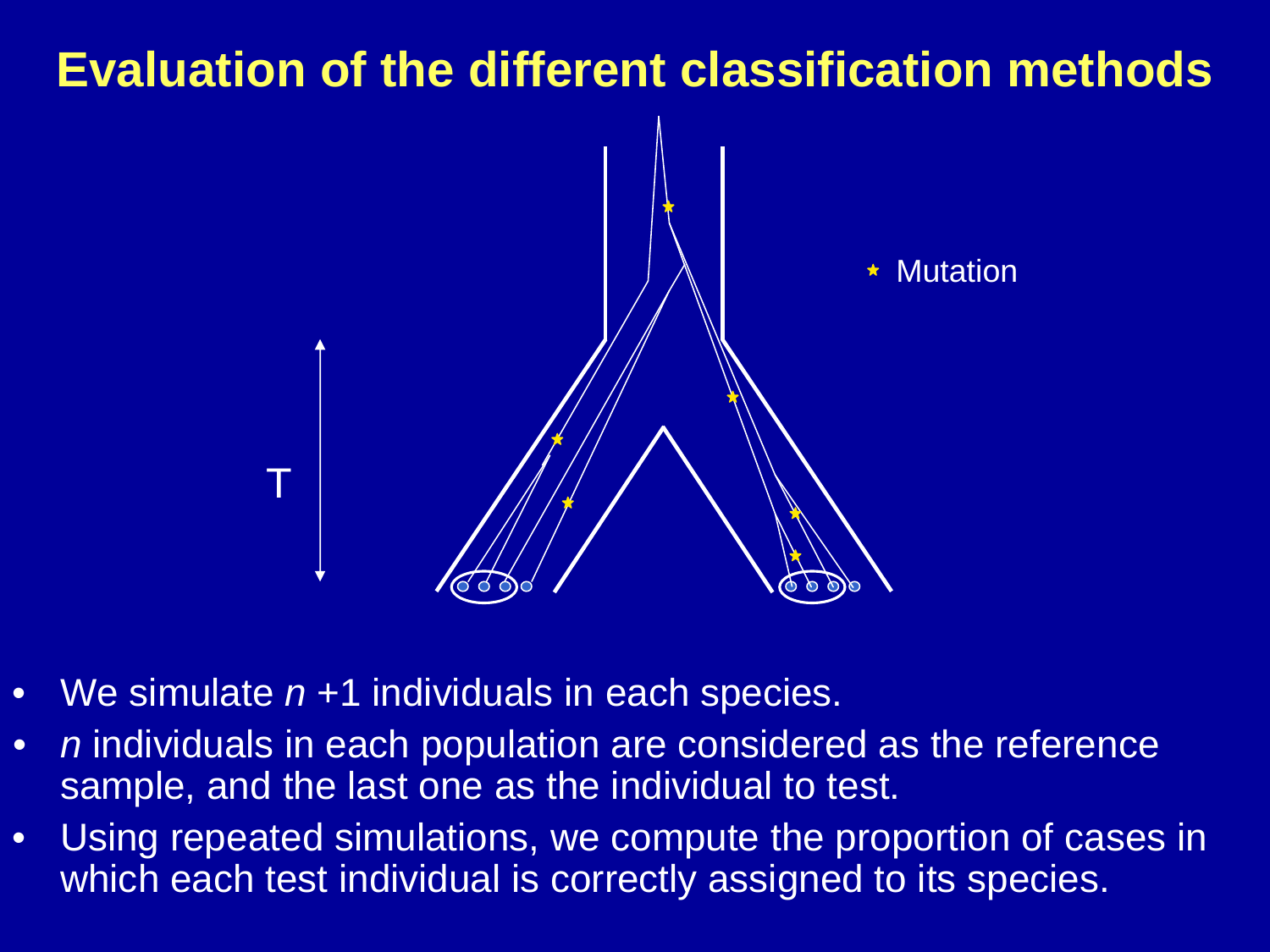#### **Evaluation of the different classification methods**



- •We simulate  $n+1$  individuals in each species.
- $\bullet$ n individuals in each population are considered as the reference sample, and the last one as the individual to test.
- • Using repeated simulations, we compute the proportion of cases in which each test individual is correctly assigned to its species.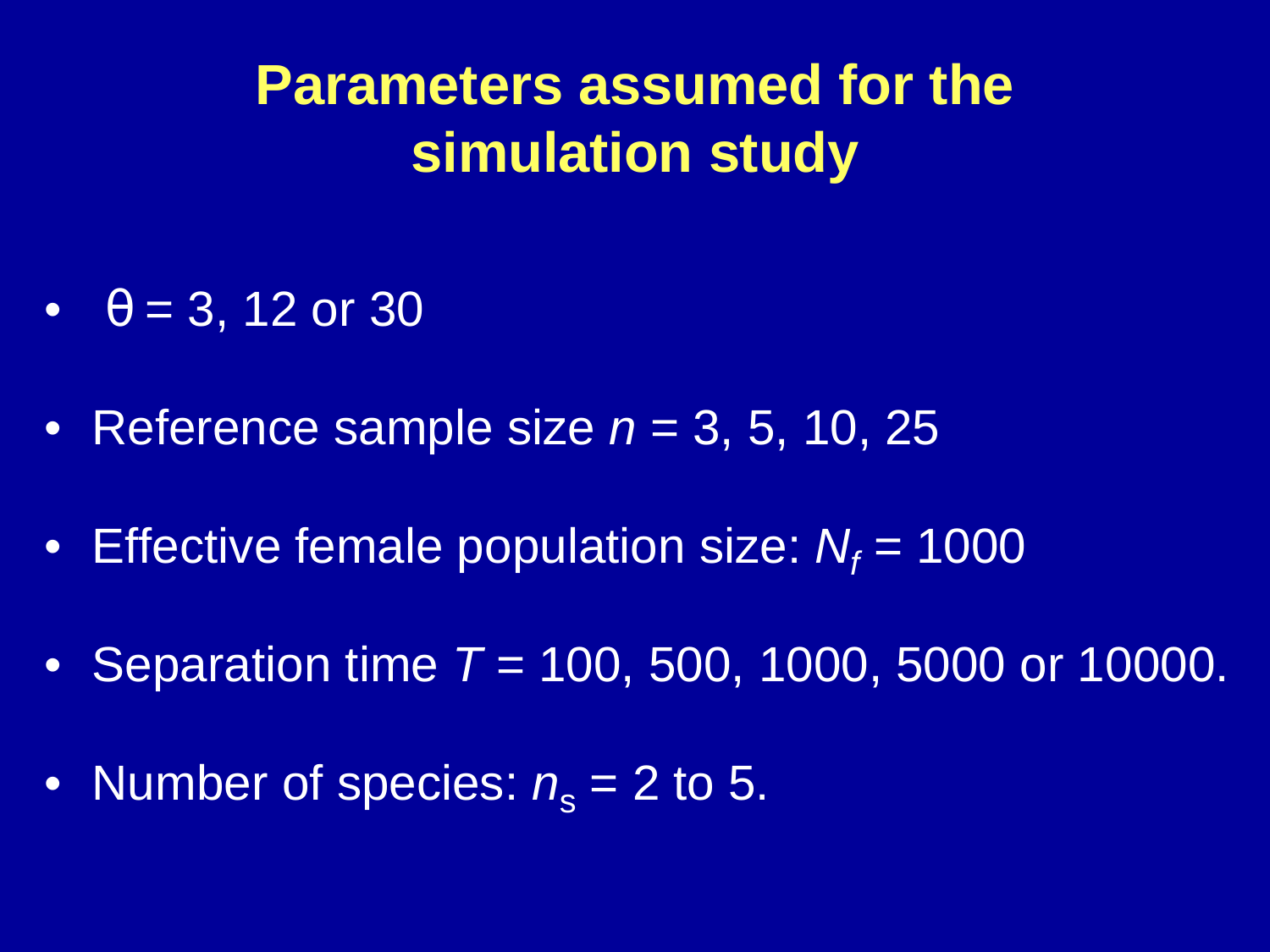**Parameters assumed for the simulation study**

- $\theta = 3, 12 \text{ or } 30$
- Reference sample size  $n = 3, 5, 10, 25$
- $\bullet~$  Effective female population size:  $N_f$  = 1000
- Separation time  $T = 100, 500, 1000, 5000$  or 10000.
- $\bullet~$  Number of species:  $n_{\rm s}$  $\mathbf{s}_\mathrm{s}$  = 2 to 5.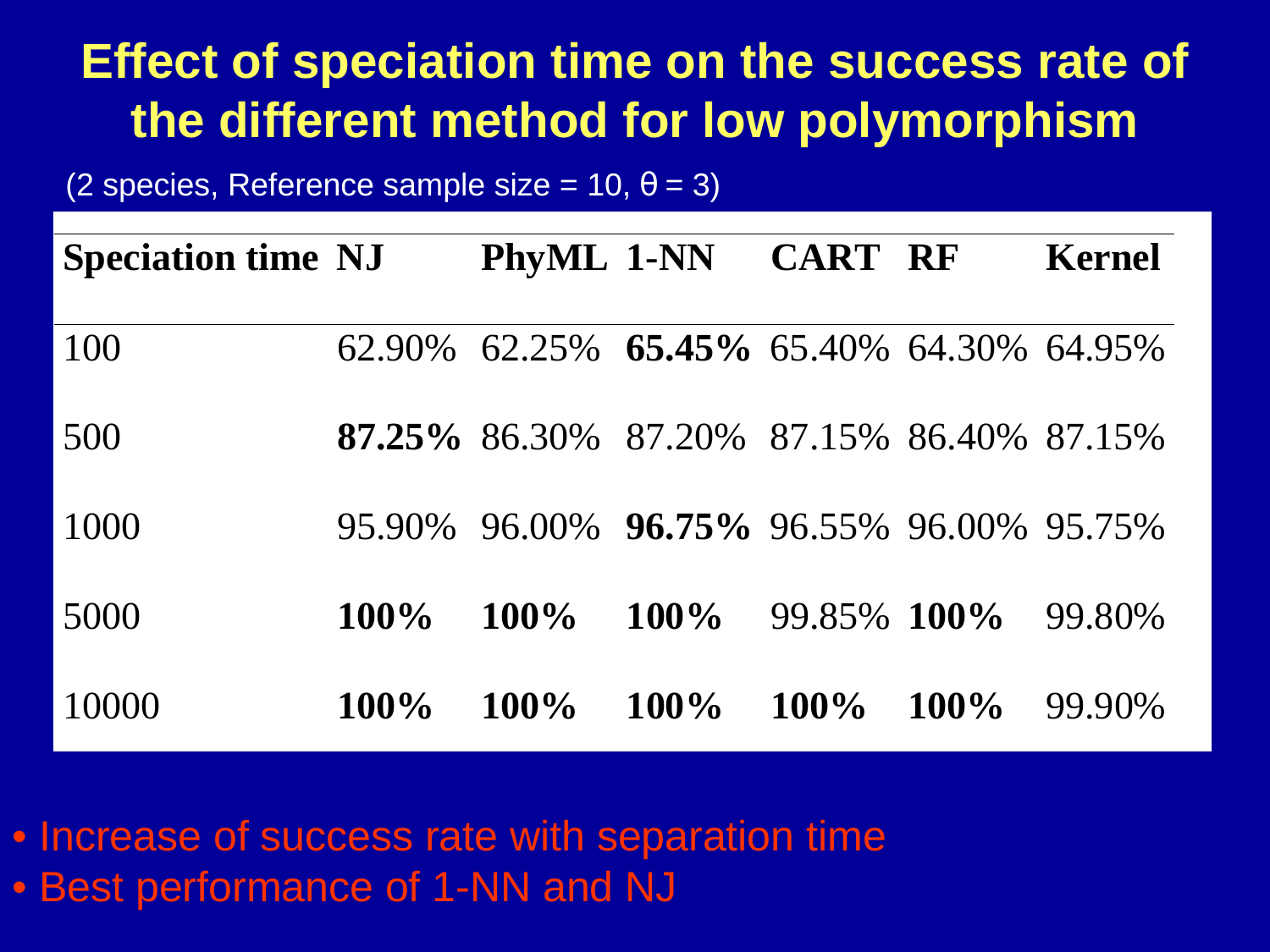#### **Effect of speciation time on the success rate of the different method for low polymorphism**

(2 species, Reference sample size = 10,  $\theta$  = 3)

| <b>Speciation time NJ</b> |         |                                           | PhyML 1-NN CART RF |             |         | <b>Kernel</b> |
|---------------------------|---------|-------------------------------------------|--------------------|-------------|---------|---------------|
| 100                       |         | 62.90% 62.25% 65.45% 65.40% 64.30% 64.95% |                    |             |         |               |
| 500                       |         | 87.25% 86.30% 87.20% 87.15% 86.40% 87.15% |                    |             |         |               |
| 1000                      |         | 95.90% 96.00% 96.75% 96.55% 96.00% 95.75% |                    |             |         |               |
| 5000                      | $100\%$ | $100\%$                                   | $100\%$            | 99.85% 100% |         | 99.80%        |
| 10000                     | $100\%$ | $100\%$                                   | $100\%$            | $100\%$     | $100\%$ | 99.90%        |

• Increase of success rate with separation time• Best performance of 1-NN and NJ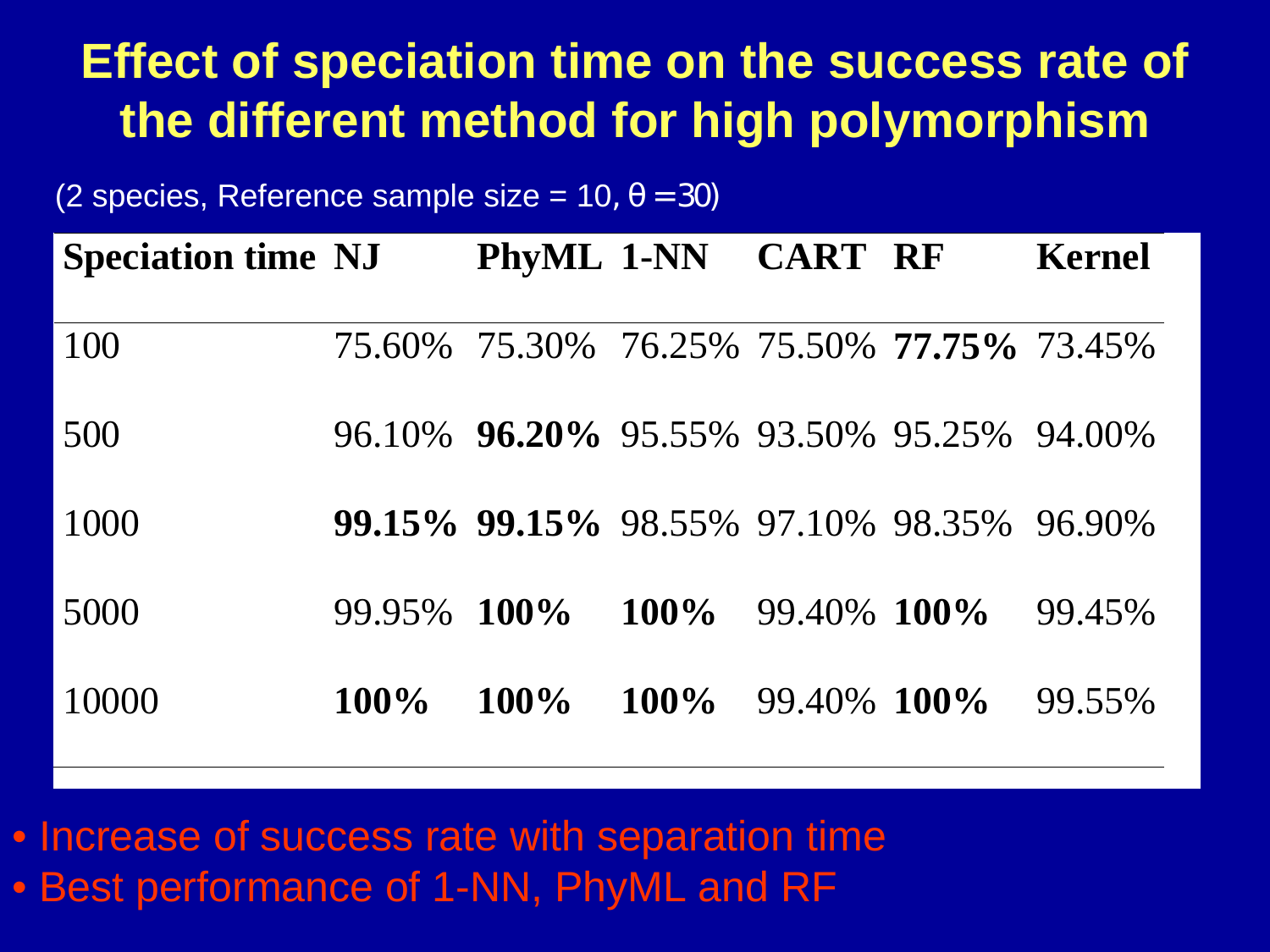#### **Effect of speciation time on the success rate of the different method for high polymorphism**

(2 species, Reference sample size =  $10, \theta = 30$ )

| <b>Speciation time NJ</b> |         | PhyML 1-NN CART RF                               |                        | Kernel |
|---------------------------|---------|--------------------------------------------------|------------------------|--------|
| 100                       |         | 75.60% 75.30% 76.25% 75.50% <b>77.75%</b> 73.45% |                        |        |
| 500                       |         | 96.10% 96.20% 95.55% 93.50% 95.25% 94.00%        |                        |        |
| 1000                      |         | <b>99.15% 99.15%</b> 98.55% 97.10% 98.35% 96.90% |                        |        |
| 5000                      | 99.95%  | $100\%$                                          | $100\%$ 99.40% $100\%$ | 99.45% |
| 10000                     | $100\%$ | $100\%$ $100\%$ 99.40% $100\%$                   |                        | 99.55% |

• Increase of success rate with separation time• Best performance of 1-NN, PhyML and RF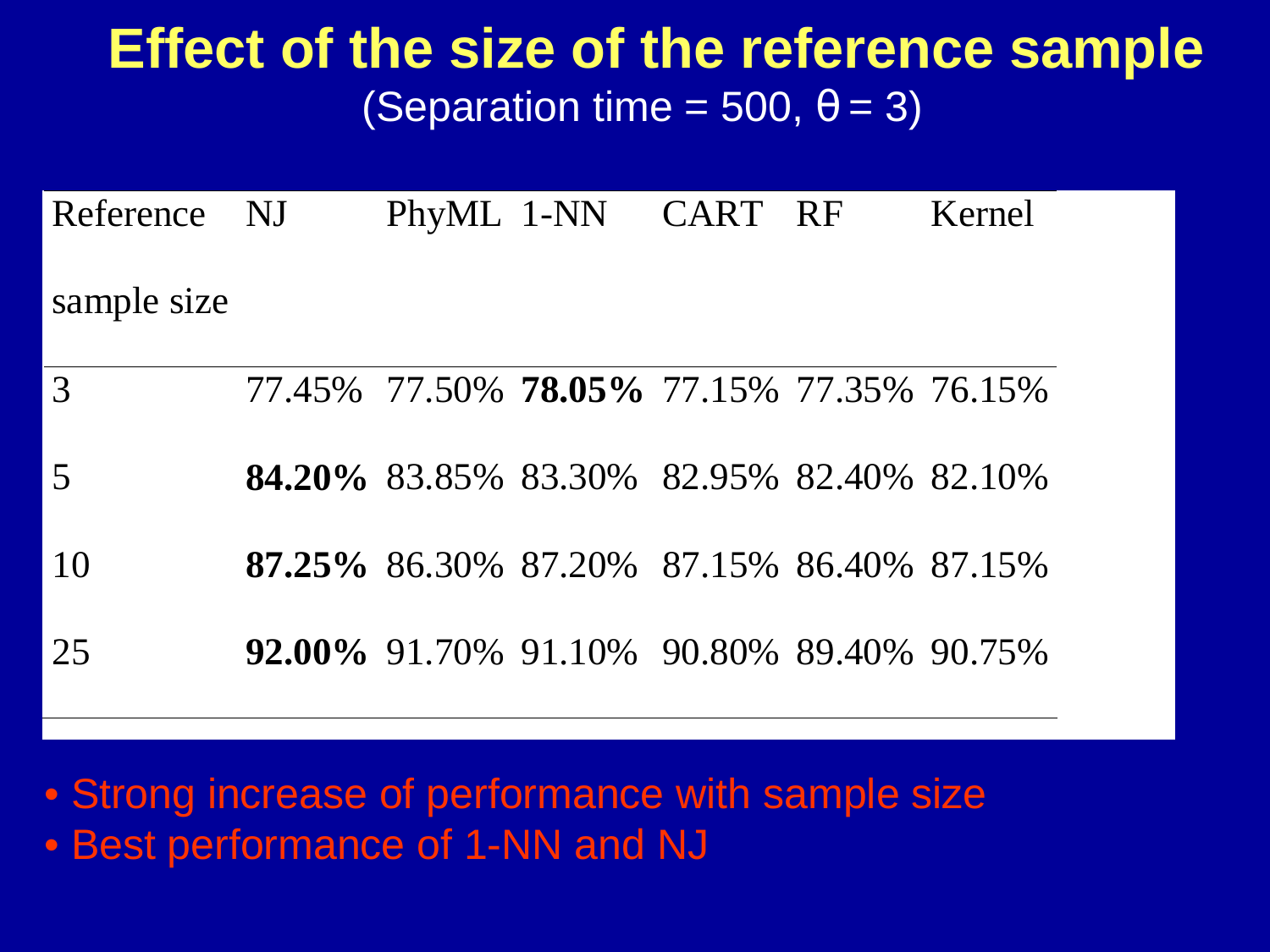### **Effect of the size of the reference sample**(Separation time = 500,  $\theta$  = 3)

| Reference NJ   |  | PhyML 1-NN CART RF                               |  | Kernel |
|----------------|--|--------------------------------------------------|--|--------|
| sample size    |  |                                                  |  |        |
| 3              |  | 77.45% 77.50% <b>78.05%</b> 77.15% 77.35% 76.15% |  |        |
| $\overline{5}$ |  | 84.20% 83.85% 83.30% 82.95% 82.40% 82.10%        |  |        |
| 10             |  | 87.25% 86.30% 87.20% 87.15% 86.40% 87.15%        |  |        |

25 **92.00%** 91.70% 91.10% 90.80% 89.40% 90.75%

• Strong increase of performance with sample size• Best performance of 1-NN and NJ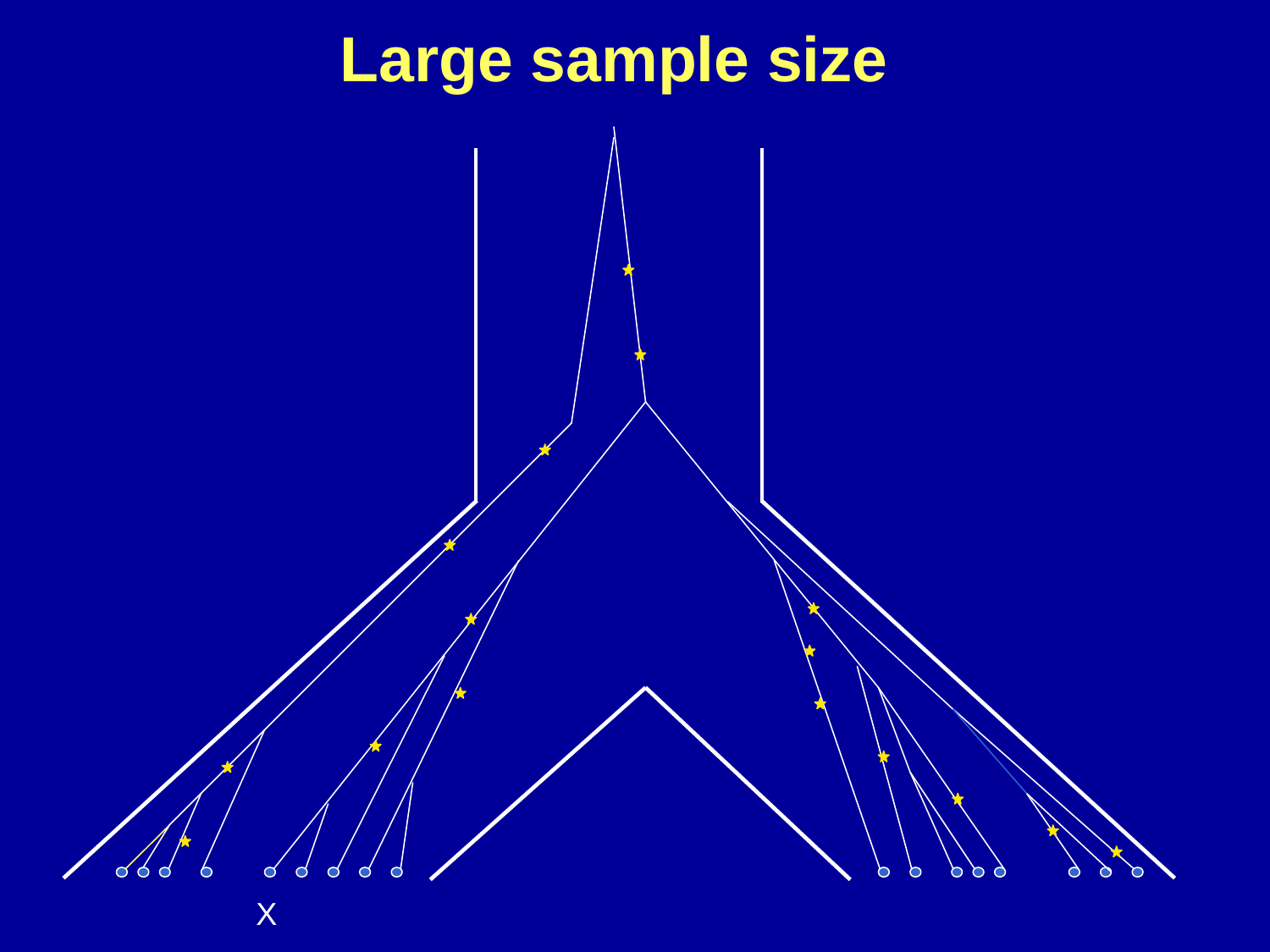# **Large sample size**

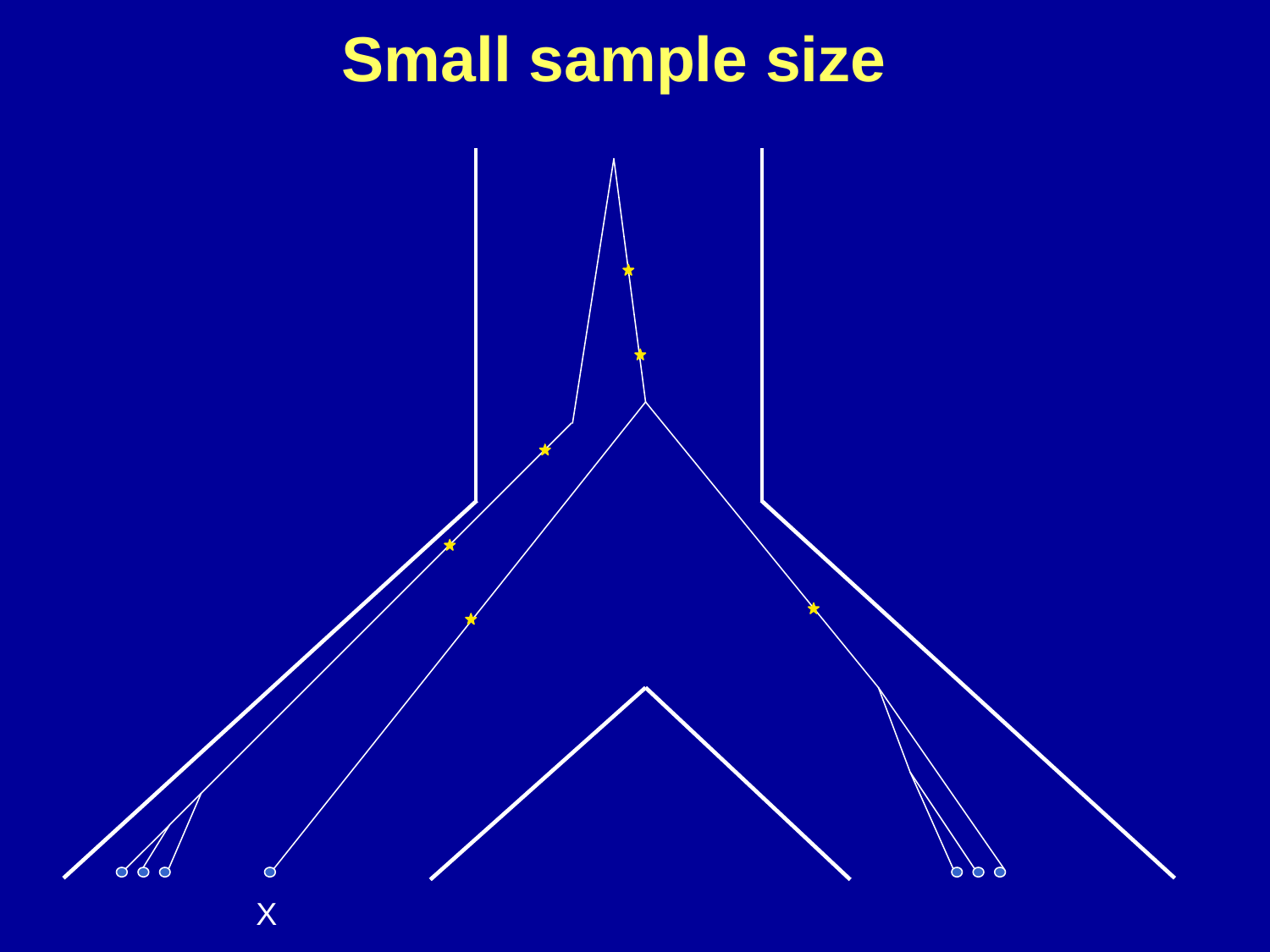# **Small sample size**

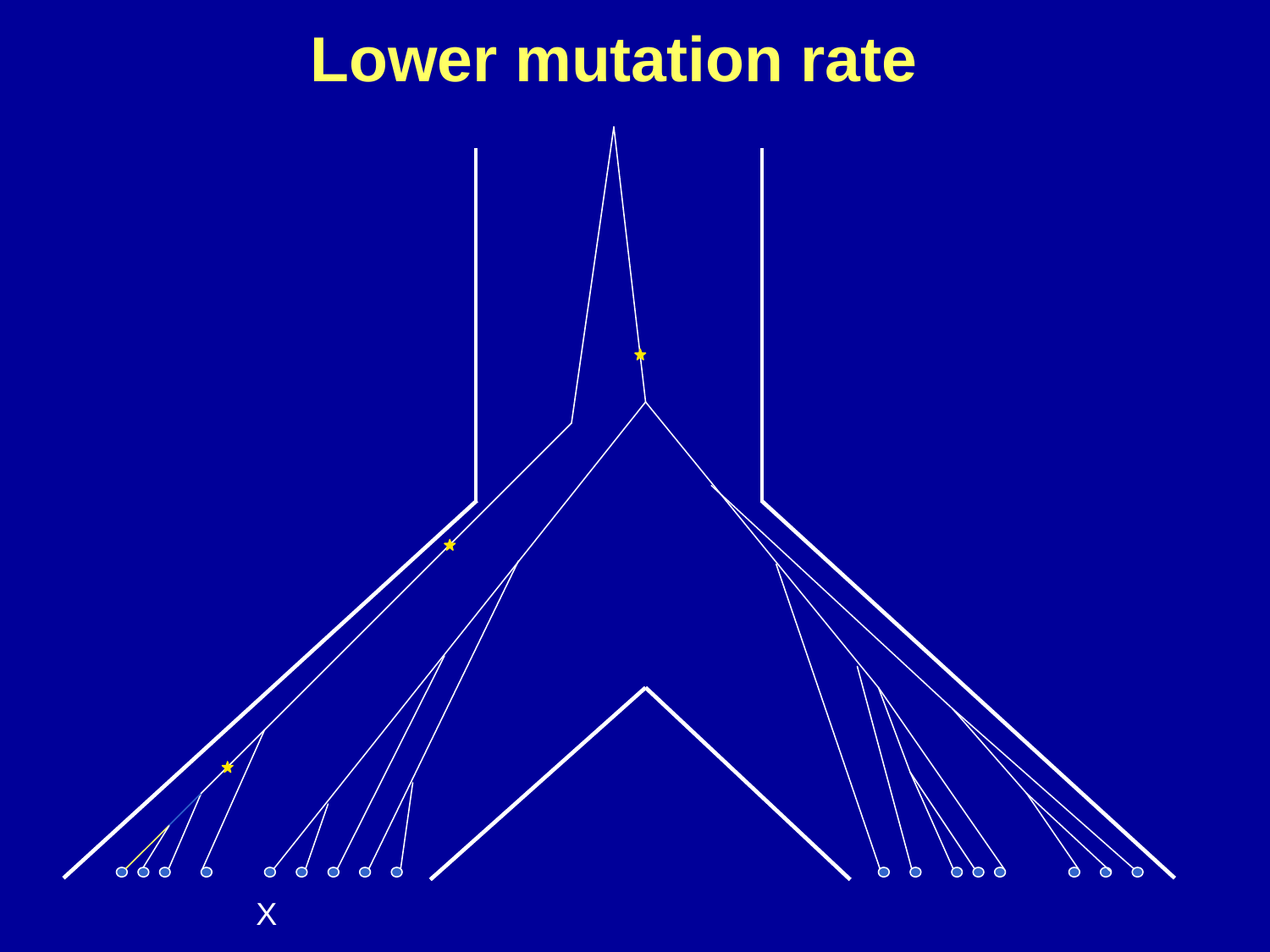### **Lower mutation rate**

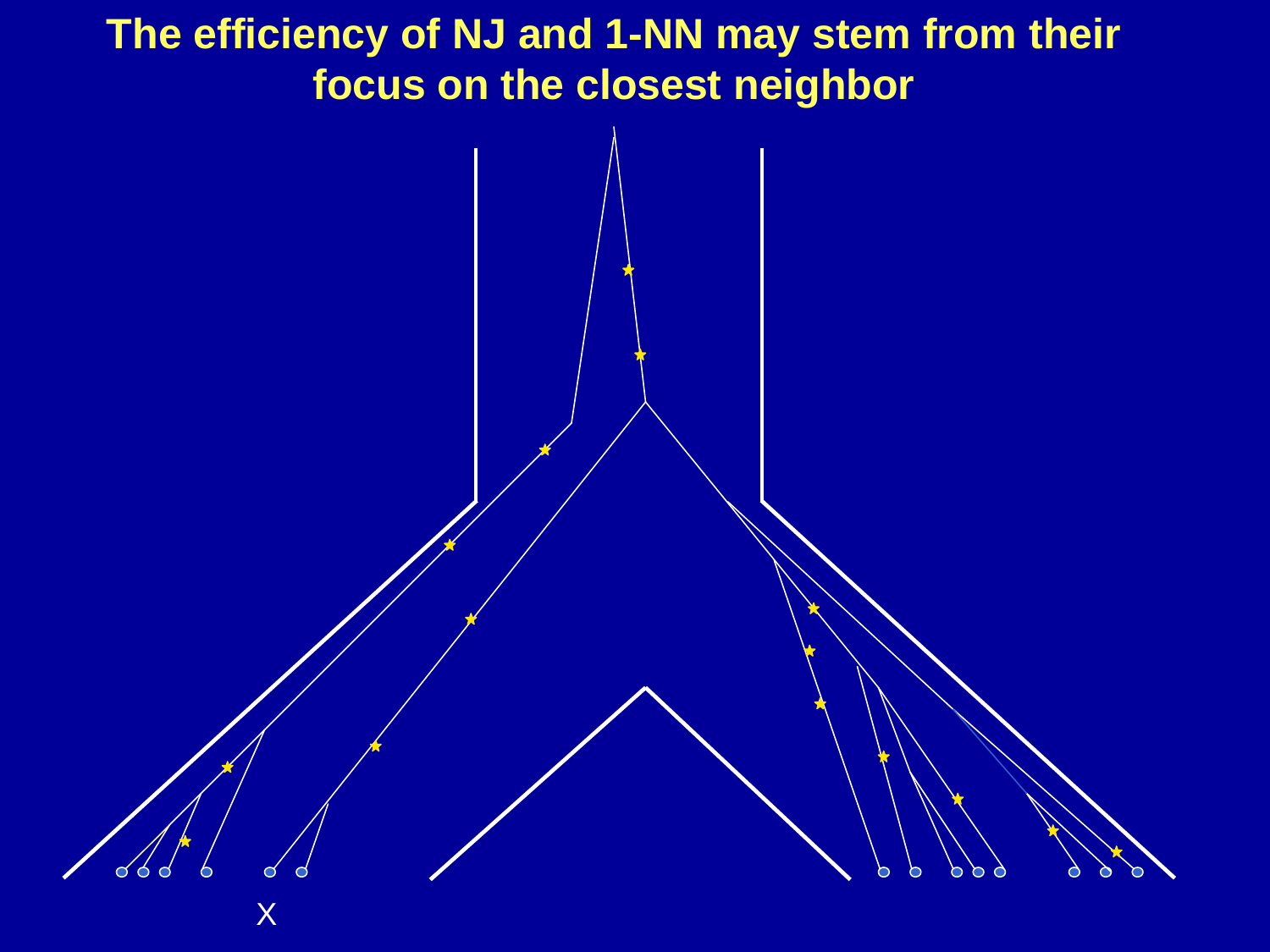#### **The efficiency of NJ and 1-NN may stem from their focus on the closest neighbor**

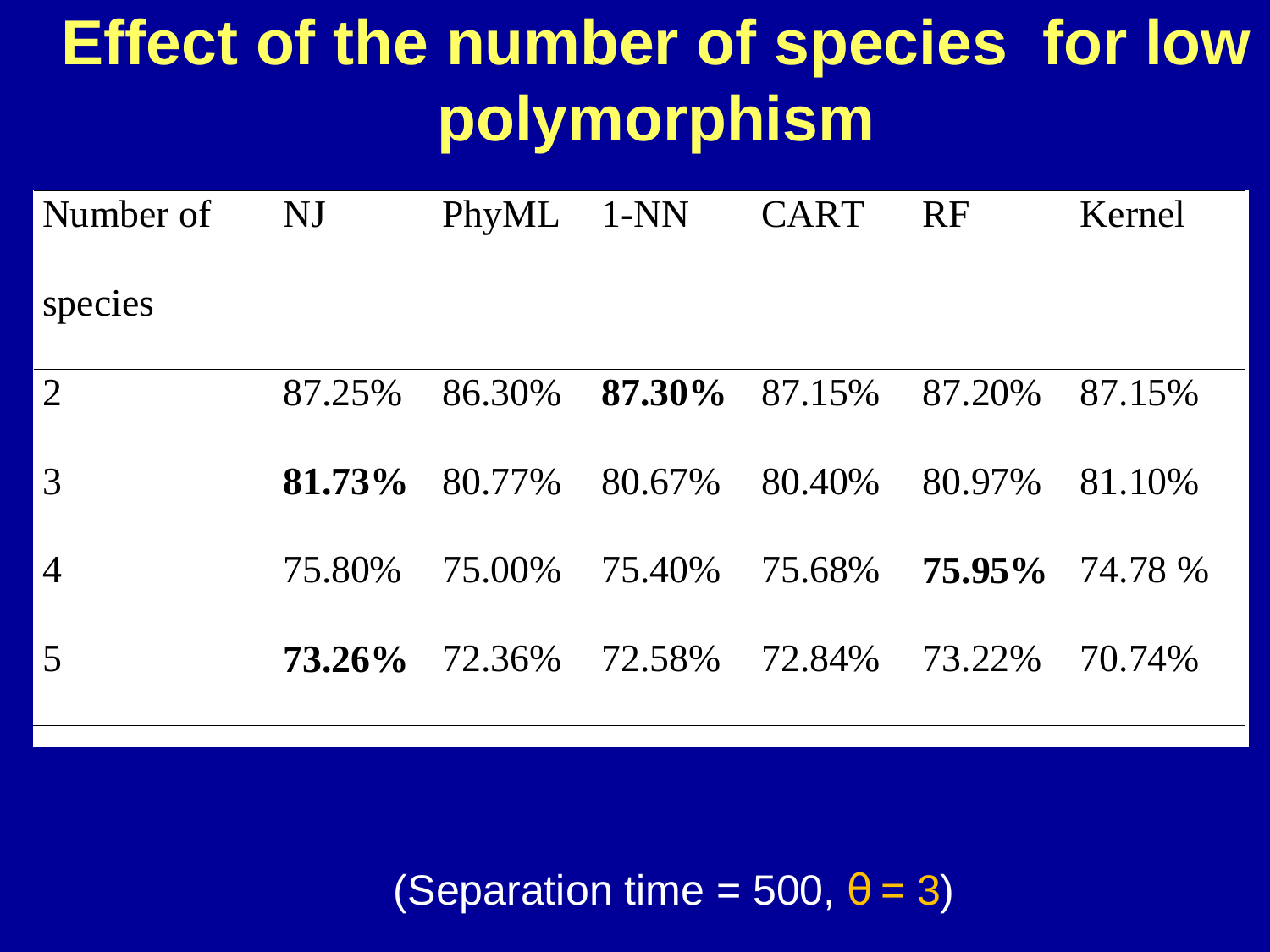# **Effect of the number of species for low polymorphism**

| Number of      | NJ                  | PhyML 1-NN |                               | CART   | RF                | Kernel |
|----------------|---------------------|------------|-------------------------------|--------|-------------------|--------|
| species        |                     |            |                               |        |                   |        |
| $\overline{2}$ | 87.25%              | 86.30%     | $87.30\%$ $87.15\%$ $87.20\%$ |        |                   | 87.15% |
| $\overline{3}$ | $81.73\%$ 80.77%    |            | 80.67%                        | 80.40% | 80.97%            | 81.10% |
| $\overline{4}$ | 75.80%              | 75.00%     | 75.40% 75.68%                 |        | $75.95\%$ 74.78 % |        |
| $\overline{5}$ | $73.26\%$ $72.36\%$ |            | 72.58% 72.84% 73.22%          |        |                   | 70.74% |

(Separation time = 500,  $\theta$  = 3)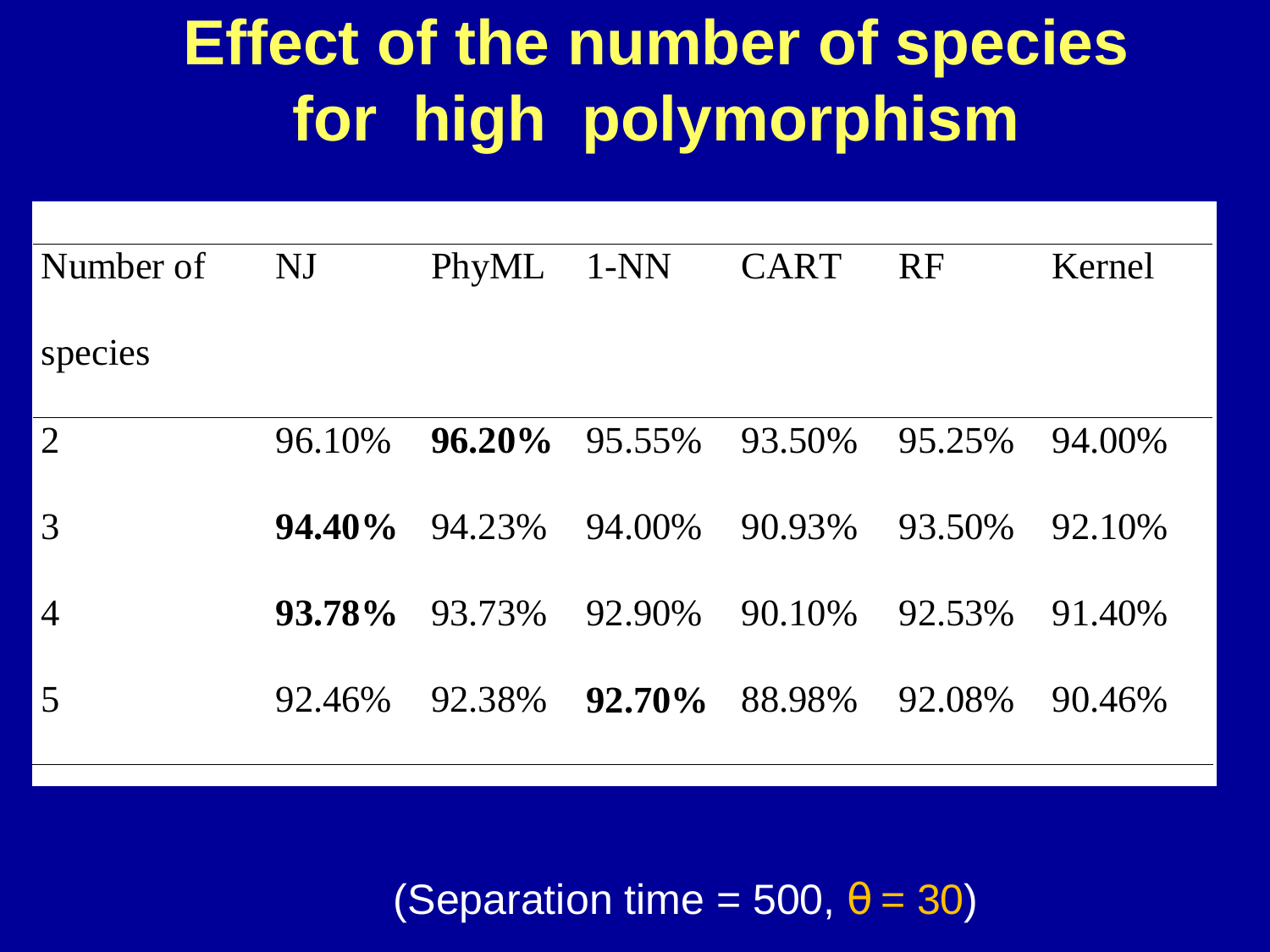# **Effect of the number of species for high polymorphism**

| Number of      | NJ        |        |               | PhyML 1-NN CART RF                 |        | Kernel |
|----------------|-----------|--------|---------------|------------------------------------|--------|--------|
| species        |           |        |               |                                    |        |        |
| $\overline{2}$ | 96.10%    |        |               | <b>96.20%</b> 95.55% 93.50% 95.25% |        | 94.00% |
| 3              | $94.40\%$ | 94.23% | 94.00% 90.93% |                                    | 93.50% | 92.10% |
| $\overline{4}$ | 93.78%    | 93.73% | 92.90%        | 90.10%                             | 92.53% | 91.40% |
| $\overline{5}$ | 92.46%    | 92.38% | $92.70\%$     | 88.98%                             | 92.08% | 90.46% |
|                |           |        |               |                                    |        |        |

(Separation time = 500,  $\theta$  = 30)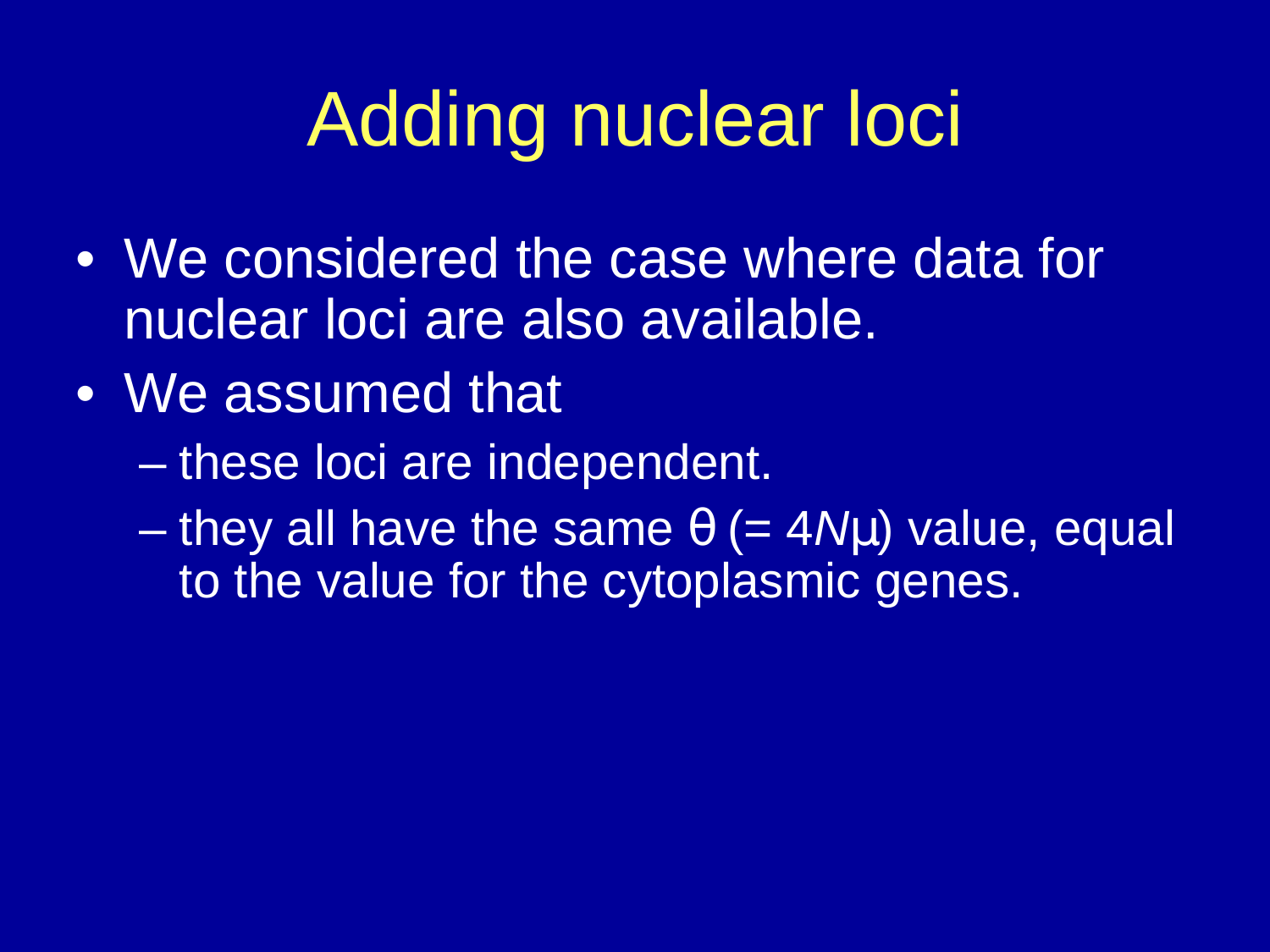# Adding nuclear loci

- We considered the case where data for nuclear loci are also available.
- We assumed that
	- $\mathcal{L}_{\mathcal{A}}$  , where  $\mathcal{L}_{\mathcal{A}}$  is the set of the set of the set of the set of the set of the set of the set of the set of the set of the set of the set of the set of the set of the set of the set of the set of the these loci are independent.
	- $\mathcal{L}_{\mathcal{A}}$ they all have the same  $\theta$  (= 4 $N\mu$ ) value, equal to the value for the cytoplasmic genes.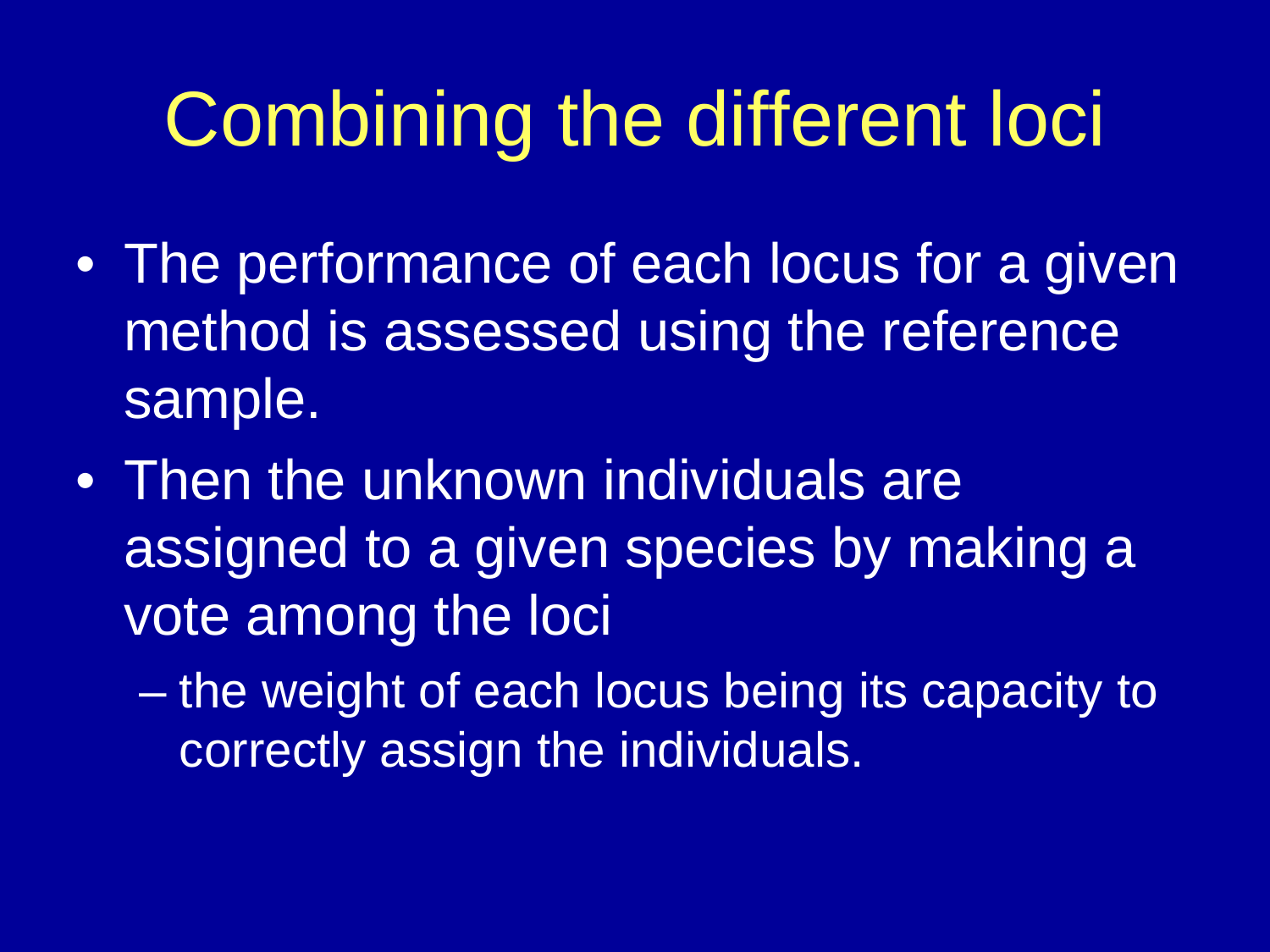# Combining the different loci

- The performance of each locus for a given method is assessed using the reference sample.
- Then the unknown individuals are assigned to a given species by making a vote among the loci
	- the weight of each locus being its capacity to correctly assign the individuals.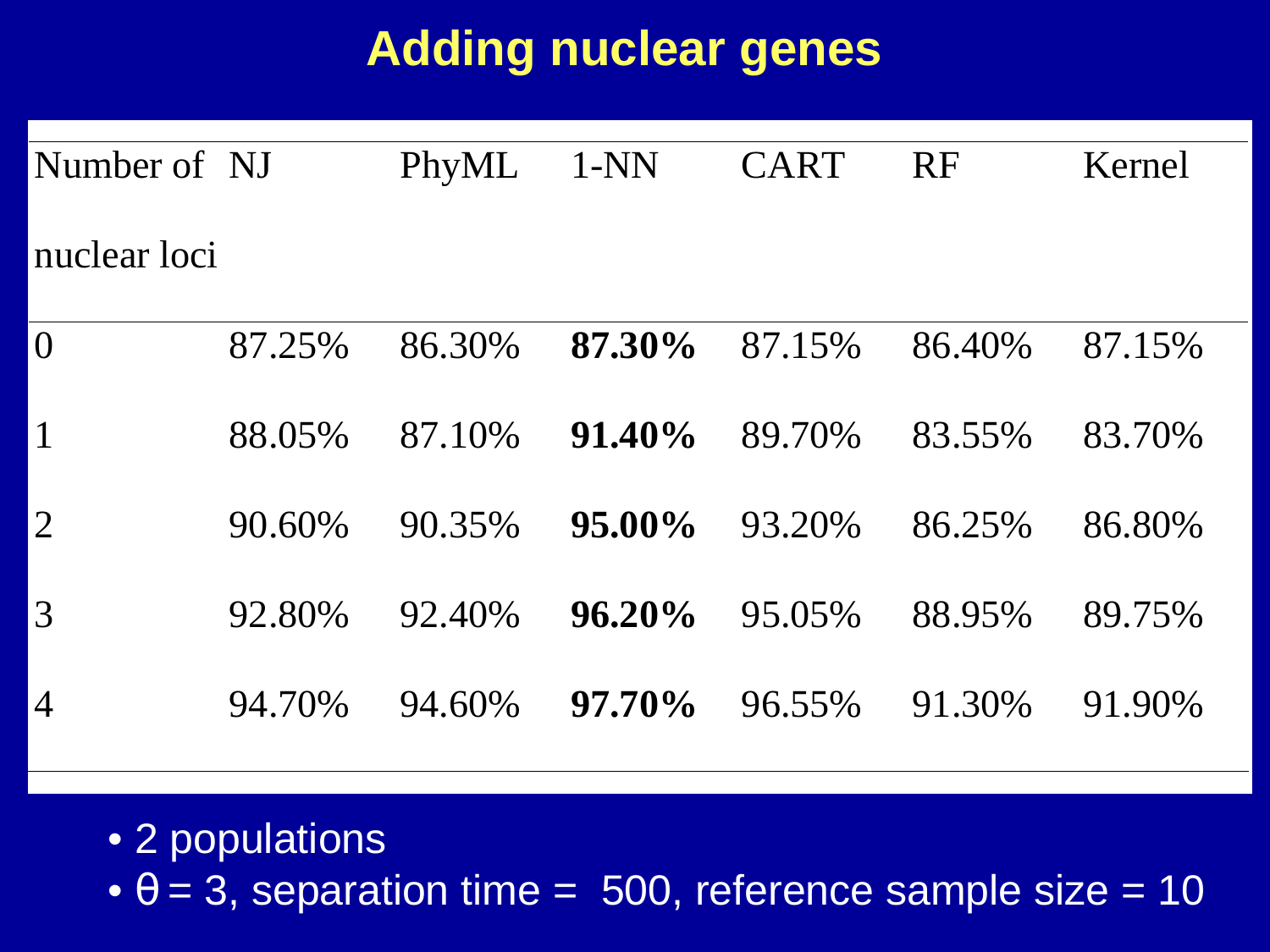#### **Adding nuclear genes**

| Number of NJ   |        | PhyML  | $1-NN$    | <b>CART</b> | <b>RF</b> | Kernel |
|----------------|--------|--------|-----------|-------------|-----------|--------|
| nuclear loci   |        |        |           |             |           |        |
| $\mathbf{0}$   | 87.25% | 86.30% | 87.30%    | 87.15%      | 86.40%    | 87.15% |
| $\mathbf{1}$   | 88.05% | 87.10% | $91.40\%$ | 89.70%      | 83.55%    | 83.70% |
| $\overline{2}$ | 90.60% | 90.35% | $95.00\%$ | 93.20%      | 86.25%    | 86.80% |
| 3              | 92.80% | 92.40% | $96.20\%$ | 95.05%      | 88.95%    | 89.75% |

- 4 94.70% 94.60% **97.70%** 96.55% 91.30% 91.90%
	- 2 populations
	- $\theta$  = 3, separation time = 500, reference sample size = 10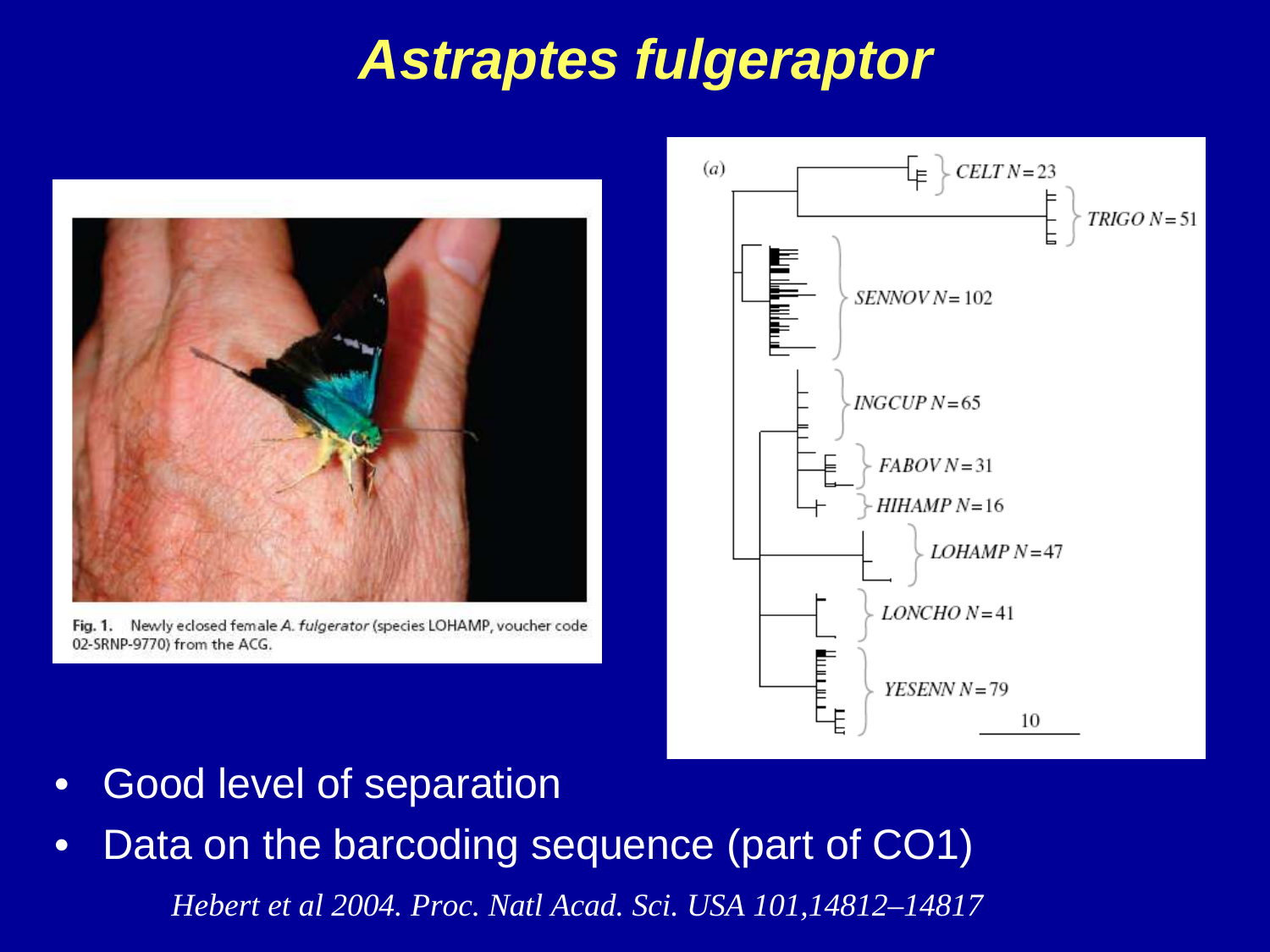# **Astraptes fulgeraptor**



Fig. 1. Newly eclosed female A. fulgerator (species LOHAMP, voucher code 02-SRNP-9770) from the ACG.



- •Good level of separation
- *Hebert et al 2004. Proc. Natl Acad. Sci. USA 101,14812–14817*•Data on the barcoding sequence (part of CO1)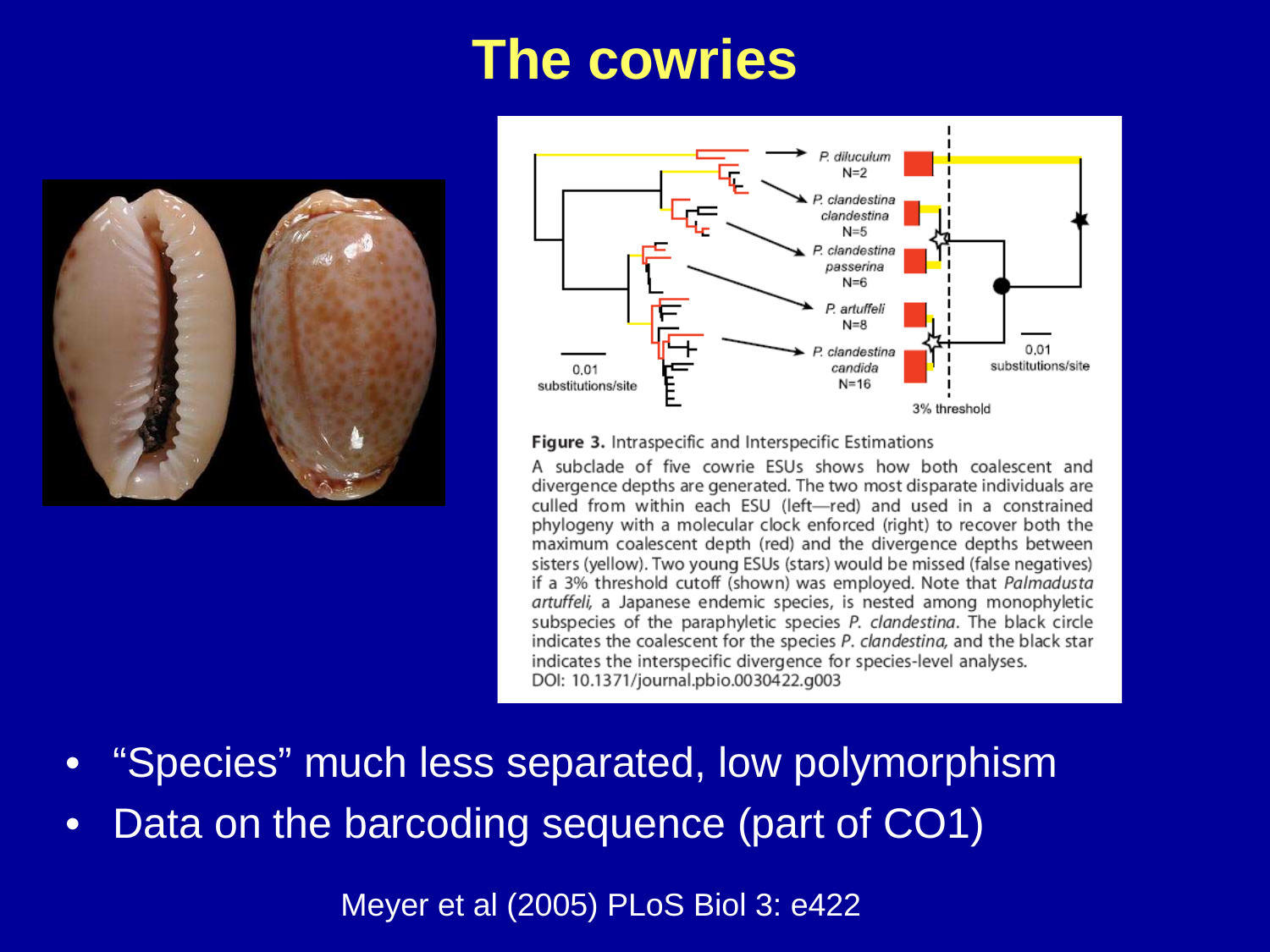### **The cowries**





Figure 3. Intraspecific and Interspecific Estimations

A subclade of five cowrie ESUs shows how both coalescent and divergence depths are generated. The two most disparate individuals are culled from within each ESU (left-red) and used in a constrained phylogeny with a molecular clock enforced (right) to recover both the maximum coalescent depth (red) and the divergence depths between sisters (yellow). Two young ESUs (stars) would be missed (false negatives) if a 3% threshold cutoff (shown) was employed. Note that Palmadusta artuffeli, a Japanese endemic species, is nested among monophyletic subspecies of the paraphyletic species P. clandestina. The black circle indicates the coalescent for the species P. clandestina, and the black star indicates the interspecific divergence for species-level analyses. DOI: 10.1371/journal.pbio.0030422.g003

- •"Species" much less separated, low polymorphism
- •Data on the barcoding sequence (part of CO1)

Meyer et al (2005) PLoS Biol 3: e422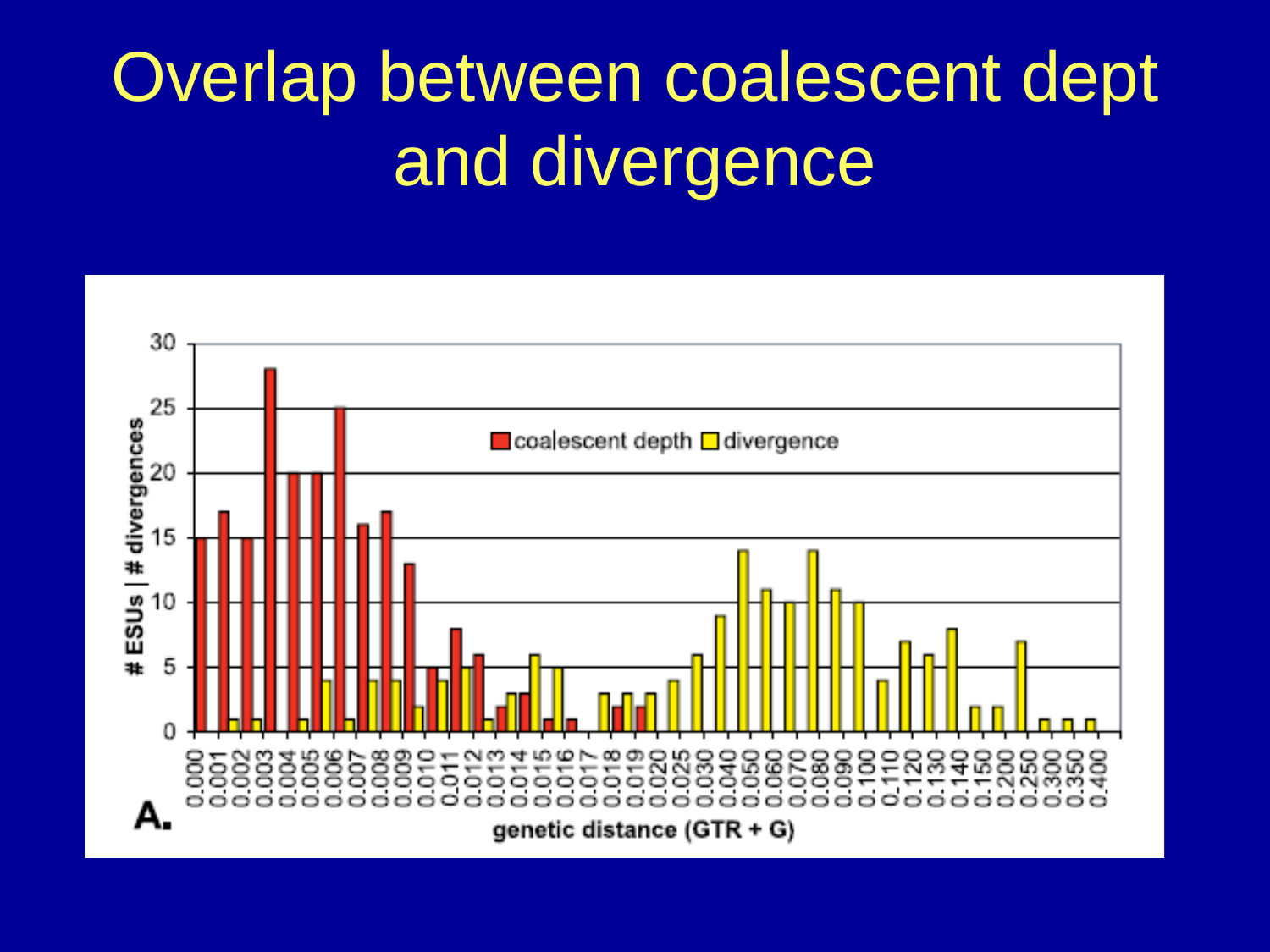# Overlap between coalescent dept and divergence

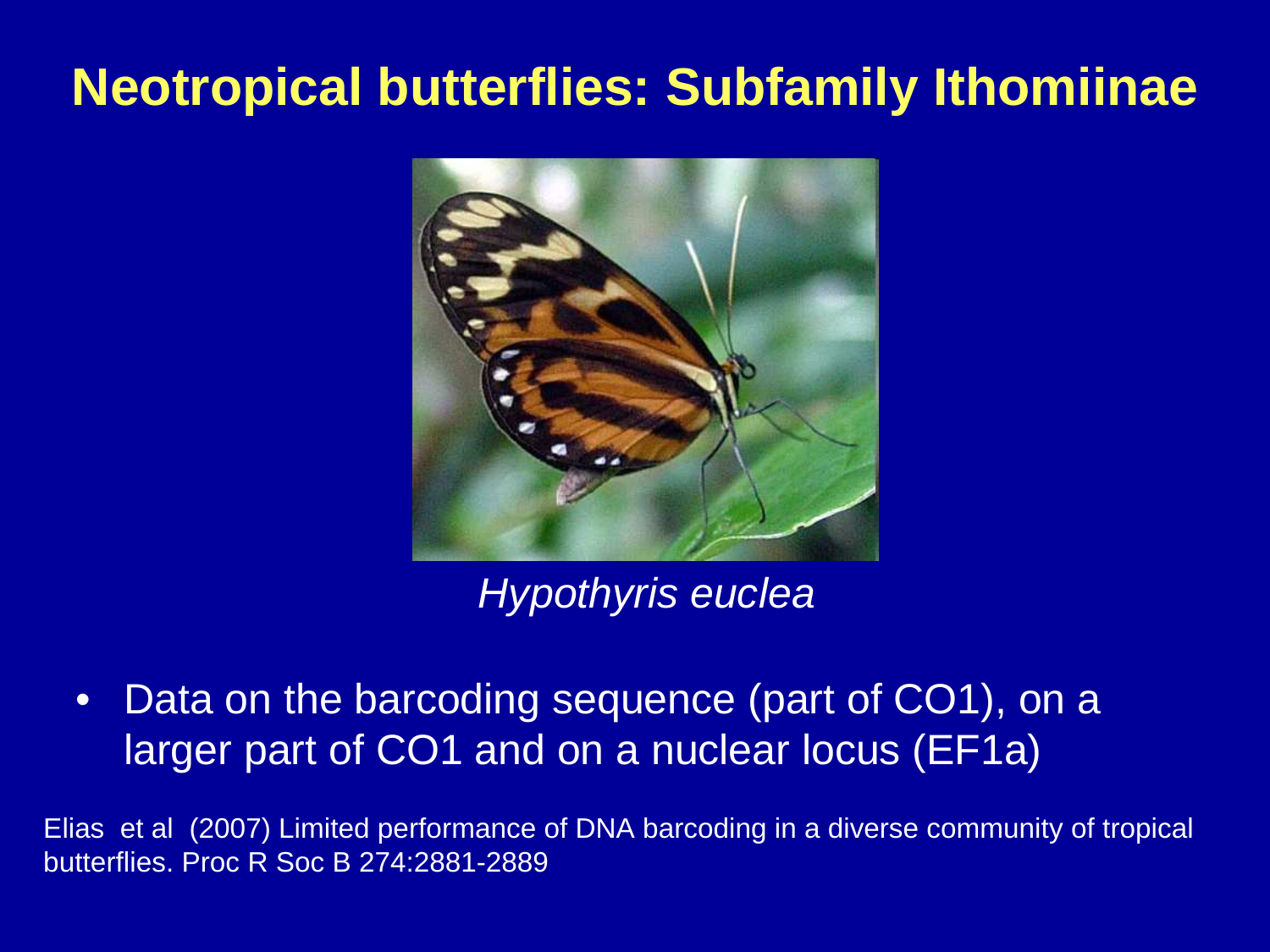#### **Neotropical butterflies: Subfamily Ithomiinae**



#### Hypothyris euclea

 $\bullet$  Data on the barcoding sequence (part of CO1), on a larger part of CO1 and on a nuclear locus (EF1a)

Elias et al (2007) Limited performance of DNA barcoding in a diverse community of tropical butterflies. Proc R Soc B 274:2881-2889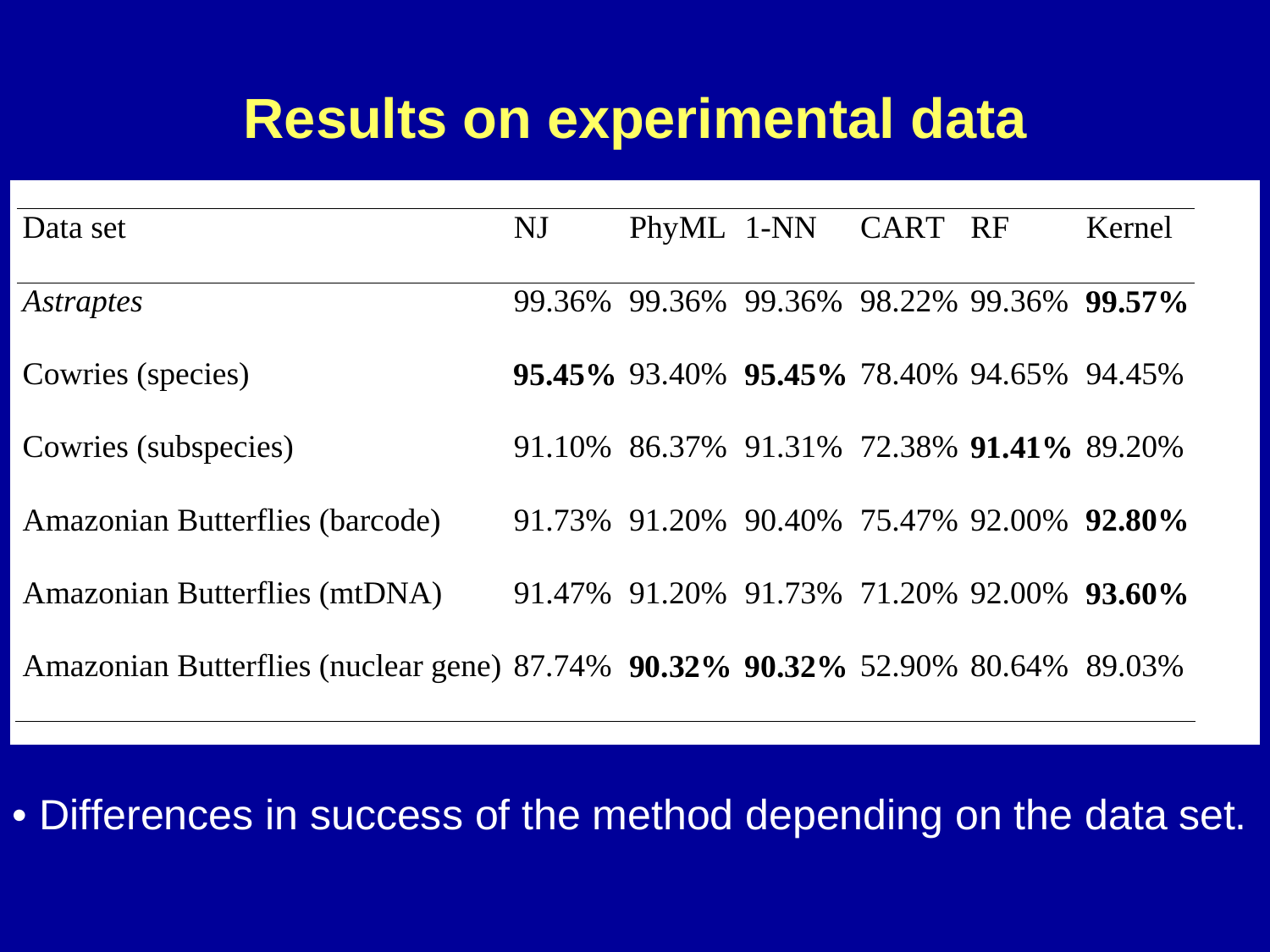### **Results on experimental data**

| Data set                                                                       | NJ |                                                         | PhyML 1-NN CART RF |  | Kernel |
|--------------------------------------------------------------------------------|----|---------------------------------------------------------|--------------------|--|--------|
| <i>Astraptes</i>                                                               |    | 99.36% 99.36% 99.36% 98.22% 99.36% 99.57%               |                    |  |        |
| Cowries (species)                                                              |    | <b>95.45%</b> 93.40% <b>95.45%</b> 78.40% 94.65% 94.45% |                    |  |        |
| Cowries (subspecies)                                                           |    | 91.10% 86.37% 91.31% 72.38% 91.41% 89.20%               |                    |  |        |
| Amazonian Butterflies (barcode)                                                |    | 91.73% 91.20% 90.40% 75.47% 92.00% 92.80%               |                    |  |        |
| Amazonian Butterflies (mtDNA)                                                  |    | 91.47% 91.20% 91.73% 71.20% 92.00% 93.60%               |                    |  |        |
| Amazonian Butterflies (nuclear gene) 87.74% 90.32% 90.32% 52.90% 80.64% 89.03% |    |                                                         |                    |  |        |

• Differences in success of the method depending on the data set.